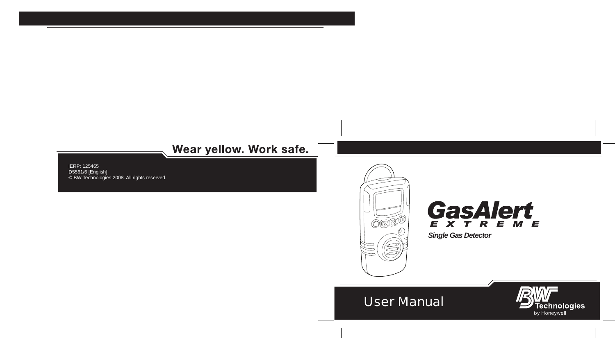

# GasAlert EXTREME

*Single Gas Detector*

# *User Manual*

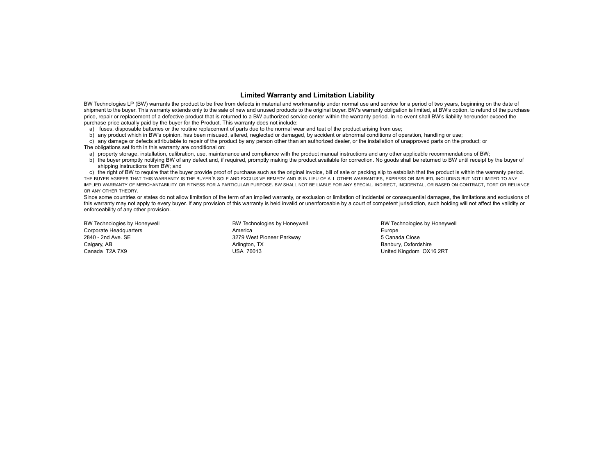#### **Limited Warranty and Limitation Liability**

BW Technologies LP (BW) warrants the product to be free from defects in material and workmanship under normal use and service for a period of two years, beginning on the date of shipment to the buyer. This warranty extends only to the sale of new and unused products to the original buyer. BW's warranty obligation is limited, at BW's option, to refund of the purchase price, repair or replacement of a defective product that is returned to a BW authorized service center within the warranty period. In no event shall BW's liability hereunder exceed the purchase price actually paid by the buyer for the Product. This warranty does not include:

- a) fuses, disposable batteries or the routine replacement of parts due to the normal wear and teat of the product arising from use;
- b) any product which in BW's opinion, has been misused, altered, neglected or damaged, by accident or abnormal conditions of operation, handling or use;

c) any damage or defects attributable to repair of the product by any person other than an authorized dealer, or the installation of unapproved parts on the product; or The obligations set forth in this warranty are conditional on:

- a) property storage, installation, calibration, use, maintenance and compliance with the product manual instructions and any other applicable recommendations of BW;
- b) the buyer promptly notifying BW of any defect and, if required, promptly making the product available for correction. No goods shall be returned to BW until receipt by the buyer of shipping instructions from BW; and

c) the right of BW to require that the buyer provide proof of purchase such as the original invoice, bill of sale or packing slip to establish that the product is within the warranty period. THE BUYER AGREES THAT THIS WARRANTY IS THE BUYER'S SOLE AND EXCLUSIVE REMEDY AND IS IN LIEU OF ALL OTHER WARRANTIES, EXPRESS OR IMPLIED, INCLUDING BUT NOT LIMITED TO ANY IMPLIED WARRANTY OF MERCHANTABILITY OR FITNESS FOR A PARTICULAR PURPOSE. BW SHALL NOT BE LIABLE FOR ANY SPECIAL, INDIRECT, INCIDENTAL, OR BASED ON CONTRACT, TORT OR RELIANCE OR ANY OTHER THEORY.

Since some countries or states do not allow limitation of the term of an implied warranty, or exclusion or limitation of incidental or consequential damages, the limitations and exclusions of this warranty may not apply to every buyer. If any provision of this warranty is held invalid or unenforceable by a court of competent jurisdiction, such holding will not affect the validity or enforceability of any other provision.

BW Technologies by Honeywell **BW Technologies by Honeywell** BW Technologies by Honeywell **BW Technologies by Honeywell** Corporate Headquarters **America** America **America** Europe Europe 2840 - 2nd Ave. SE 3279 West Pioneer Parkway 5 Canada Close Calgary, AB **Banbury, Oxfordshire** Arlington, TX **Banbury, Oxfordshire** Banbury, Oxfordshire Canada T2A 7X9 USA 76013 United Kingdom OX16 2RT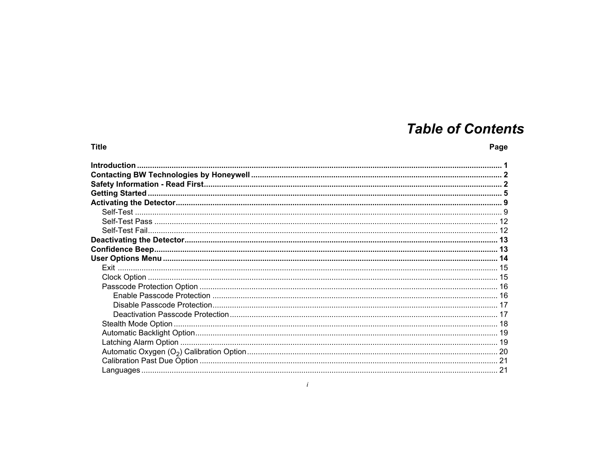## **Table of Contents**

| <b>Title</b> | Page |
|--------------|------|
|              |      |
|              |      |
|              |      |
|              |      |
|              |      |
|              |      |
|              |      |
|              |      |
|              |      |
|              |      |
|              |      |
|              |      |
|              |      |
|              |      |
|              |      |
|              |      |
|              |      |
|              |      |
|              |      |
|              |      |
|              |      |
|              |      |
|              |      |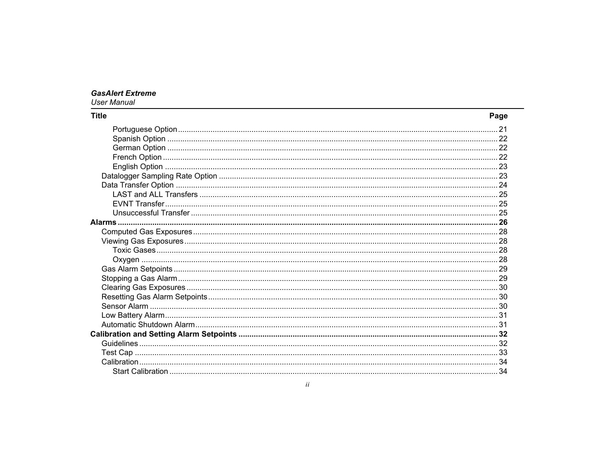### **GasAlert Extreme**

### **User Manual**

### **Title**

| . .<br>v<br>۰.<br>× |
|---------------------|
|---------------------|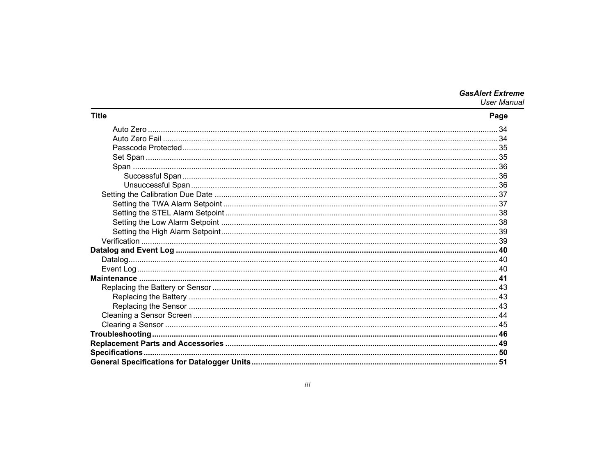## **GasAlert Extreme**

**User Manual** 

### Page

**Title**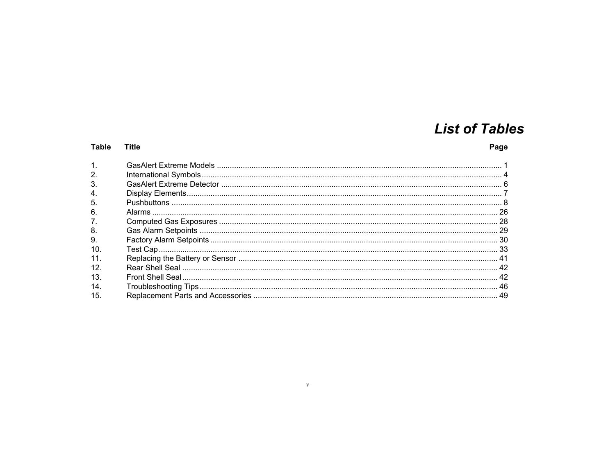## **List of Tables**

| <b>Table</b>     | Title | Page |
|------------------|-------|------|
| $\mathbf{1}$ .   |       |      |
| 2.               |       |      |
| 3.               |       |      |
| $\overline{4}$ . |       |      |
| 5.               |       |      |
| 6.               |       |      |
| 7.               |       |      |
| 8.               |       |      |
| 9.               |       |      |
| 10.              |       |      |
| 11.              |       |      |
| 12.              |       |      |
| 13.              |       |      |
| 14.              |       |      |
| 15.              |       |      |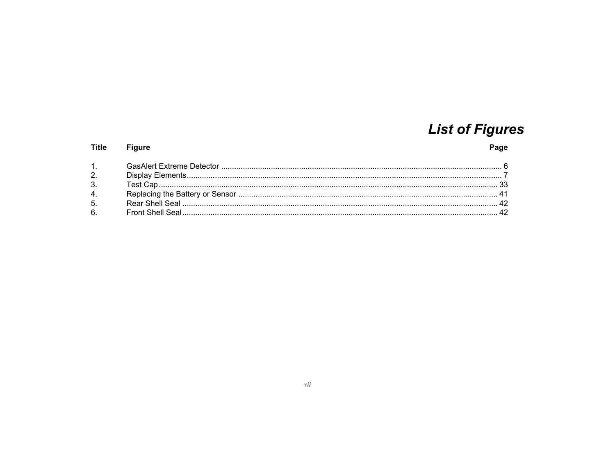## **List of Figures**

#### **Title** Figure

| 1 <sup>1</sup> |  |
|----------------|--|
| 2.             |  |
| 3.             |  |
| 4.             |  |
| 5.             |  |
| 6.             |  |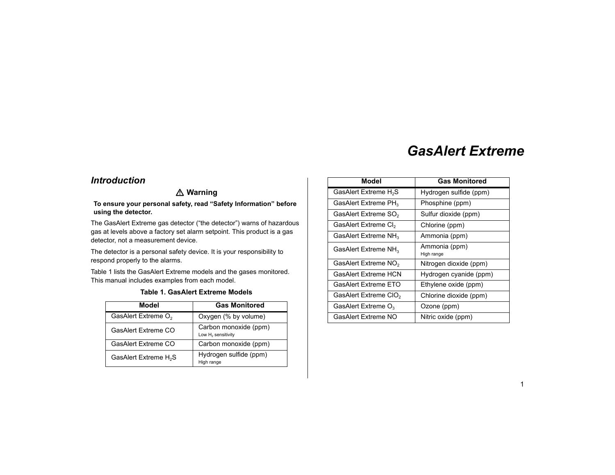## *GasAlert Extreme*

### <span id="page-10-0"></span>*Introduction*

### a **Warning**

**To ensure your personal safety, read "Safety Information" before using the detector.**

The GasAlert Extreme gas detector ("the detector") warns of hazardous gas at levels above a factory set alarm setpoint. This product is a gas detector, not a measurement device.

The detector is a personal safety device. It is your responsibility to respond properly to the alarms.

<span id="page-10-1"></span>Table 1 lists the GasAlert Extreme models and the gases monitored. This manual includes examples from each model.

#### **Table 1. GasAlert Extreme Models**

| Model                             | <b>Gas Monitored</b>                                    |
|-----------------------------------|---------------------------------------------------------|
| GasAlert Extreme O <sub>2</sub>   | Oxygen (% by volume)                                    |
| <b>GasAlert Extreme CO</b>        | Carbon monoxide (ppm)<br>Low H <sub>2</sub> sensitivity |
| GasAlert Extreme CO               | Carbon monoxide (ppm)                                   |
| GasAlert Extreme H <sub>2</sub> S | Hydrogen sulfide (ppm)<br>High range                    |

| Model                             | <b>Gas Monitored</b>        |
|-----------------------------------|-----------------------------|
| GasAlert Extreme H <sub>2</sub> S | Hydrogen sulfide (ppm)      |
| GasAlert Extreme PH <sub>3</sub>  | Phosphine (ppm)             |
| GasAlert Extreme SO <sub>2</sub>  | Sulfur dioxide (ppm)        |
| GasAlert Extreme Cl <sub>2</sub>  | Chlorine (ppm)              |
| GasAlert Extreme $NH3$            | Ammonia (ppm)               |
| GasAlert Extreme NH <sub>3</sub>  | Ammonia (ppm)<br>High range |
| GasAlert Extreme NO <sub>2</sub>  | Nitrogen dioxide (ppm)      |
| GasAlert Extreme HCN              | Hydrogen cyanide (ppm)      |
| <b>GasAlert Extreme ETO</b>       | Ethylene oxide (ppm)        |
| GasAlert Extreme CIO <sub>2</sub> | Chlorine dioxide (ppm)      |
| GasAlert Extreme O <sub>3</sub>   | Ozone (ppm)                 |
| GasAlert Extreme NO               | Nitric oxide (ppm)          |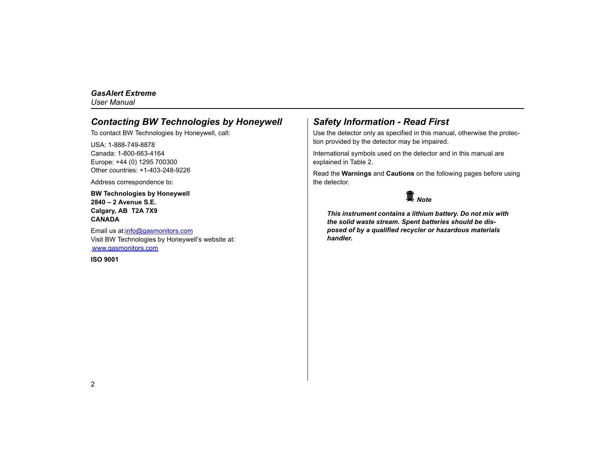### <span id="page-11-0"></span>*Contacting BW Technologies by Honeywell*

To contact BW Technologies by Honeywell, call:

USA: 1-888-749-8878Canada: 1-800-663-4164Europe: +44 (0) 1295 700300 Other countries: +1-403-248-9226

Address correspondence to:

**BW Technologies by Honeywell 2840 – 2 Avenue S.E.Calgary, AB T2A 7X9 CANADA**

Email us at:[info@gasmonitors.com](mailto:info@gasmonitors.com) Visit BW Technologies by Honeywell's website at: [www.gasmonitors.com](http://www.gasmonitors.com)

**ISO 9001**

### <span id="page-11-1"></span>*Safety Information - Read First*

Use the detector only as specified in this manual, otherwise the protection provided by the detector may be impaired.

International symbols used on the detector and in this manual are explained in Table 2.

Read the **Warnings** and **Cautions** on the following pages before using the detector.



*This instrument contains a lithium battery. Do not mix with the solid waste stream. Spent batteries should be disposed of by a qualified recycler or hazardous materials handler.*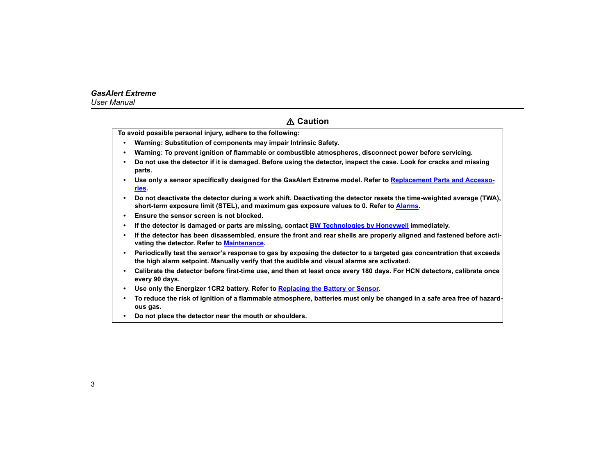### a **Caution**

**To avoid possible personal injury, adhere to the following:**

- **• Warning: Substitution of components may impair Intrinsic Safety.**
- **• Warning: To prevent ignition of flammable or combustible atmospheres, disconnect power before servicing.**
- **• Do not use the detector if it is damaged. Before using the detector, inspect the case. Look for cracks and missing parts.**
- **• Use only a sensor specifically designed for the GasAlert Extreme model. Refer to [Replacement Parts and Accesso](#page-58-0)[ries](#page-58-0).**
- **• Do not deactivate the detector during a work shift. Deactivating the detector resets the time-weighted average (TWA), short-term exposure limit (STEL), and maximum gas exposure values to 0. Refer to [Alarms](#page-35-0).**
- **• Ensure the sensor screen is not blocked.**
- **• If the detector is damaged or parts are missing, contact [BW Technologies by Honeywell](#page-11-0) immediately.**
- **• If the detector has been disassembled, ensure the front and rear shells are properly aligned and fastened before activating the detector. Refer to [Maintenance](#page-50-0).**
- **• Periodically test the sensor's response to gas by exposing the detector to a targeted gas concentration that exceeds the high alarm setpoint. Manually verify that the audible and visual alarms are activated.**
- **• Calibrate the detector before first-time use, and then at least once every 180 days. For HCN detectors, calibrate once every 90 days.**
- **• Use only the Energizer 1CR2 battery. Refer to [Replacing the Battery or Sensor](#page-52-0).**
- **• To reduce the risk of ignition of a flammable atmosphere, batteries must only be changed in a safe area free of hazardous gas.**
- **• Do not place the detector near the mouth or shoulders.**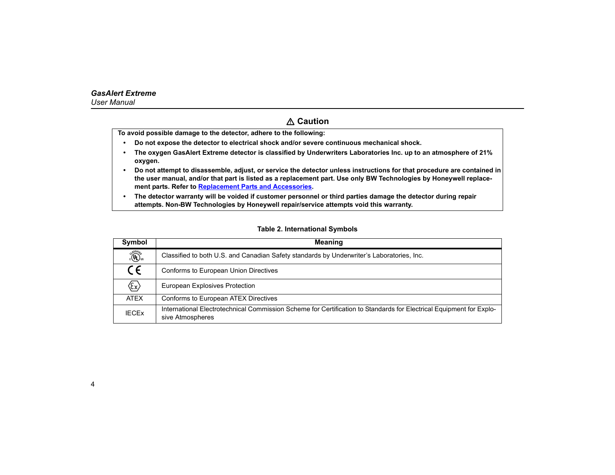### a **Caution**

**To avoid possible damage to the detector, adhere to the following:**

- **• Do not expose the detector to electrical shock and/or severe continuous mechanical shock.**
- **• The oxygen GasAlert Extreme detector is classified by Underwriters Laboratories Inc. up to an atmosphere of 21% oxygen.**
- **• Do not attempt to disassemble, adjust, or service the detector unless instructions for that procedure are contained in the user manual, and/or that part is listed as a replacement part. Use only BW Technologies by Honeywell replacement parts. Refer to [Replacement Parts and Accessories](#page-58-0).**
- **• The detector warranty will be voided if customer personnel or third parties damage the detector during repair attempts. Non-BW Technologies by Honeywell repair/service attempts void this warranty.**

<span id="page-13-0"></span>

| Symbol                               | <b>Meaning</b>                                                                                                                          |
|--------------------------------------|-----------------------------------------------------------------------------------------------------------------------------------------|
| <b>EVASSIFIES</b>                    | Classified to both U.S. and Canadian Safety standards by Underwriter's Laboratories, Inc.                                               |
| CE                                   | Conforms to European Union Directives                                                                                                   |
| $\langle \! \! \{ \! \{ \! \} \! \}$ | European Explosives Protection                                                                                                          |
| <b>ATEX</b>                          | Conforms to European ATEX Directives                                                                                                    |
| <b>IECEX</b>                         | International Electrotechnical Commission Scheme for Certification to Standards for Electrical Equipment for Explo-<br>sive Atmospheres |

#### **Table 2. International Symbols**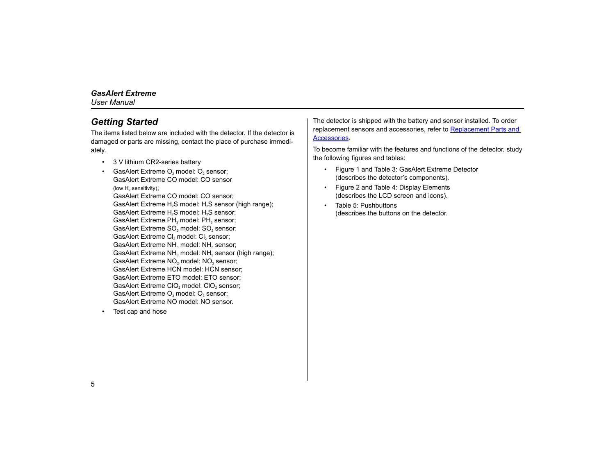### <span id="page-14-0"></span>*Getting Started*

The items listed below are included with the detector. If the detector is damaged or parts are missing, contact the place of purchase immediately.

•3 V lithium CR2-series battery

•GasAlert Extreme O<sub>2</sub> model: O<sub>2</sub> sensor: GasAlert Extreme CO model: CO sensor(low  $H<sub>2</sub>$  sensitivity); GasAlert Extreme CO model: CO sensor; GasAlert Extreme H<sub>2</sub>S model: H<sub>2</sub>S sensor (high range); GasAlert Extreme H<sub>2</sub>S model: H<sub>2</sub>S sensor; GasAlert Extreme PH<sub>3</sub> model: PH<sub>3</sub> sensor; GasAlert Extreme SO<sub>2</sub> model: SO<sub>2</sub> sensor: GasAlert Extreme Cl<sub>2</sub> model: Cl<sub>2</sub> sensor; GasAlert Extreme NH<sub>3</sub> model: NH<sub>3</sub> sensor: GasAlert Extreme  $NH<sub>3</sub>$  model:  $NH<sub>3</sub>$  sensor (high range); GasAlert Extreme NO<sub>2</sub> model: NO<sub>2</sub> sensor: GasAlert Extreme HCN model: HCN sensor; GasAlert Extreme ETO model: ETO sensor; GasAlert Extreme CIO<sub>2</sub> model: CIO<sub>2</sub> sensor; GasAlert Extreme O<sub>3</sub> model: O<sub>3</sub> sensor; GasAlert Extreme NO model: NO sensor.

•Test cap and hose The detector is shipped with the battery and sensor installed. To order replacement sensors and accessories, refer to [Replacement Parts and](#page-58-0)  [Accessories](#page-58-0).

To become familiar with the features and functions of the detector, study the following figures and tables:

- • Figure 1 and Table 3: GasAlert Extreme Detector (describes the detector's components).
- • Figure 2 and Table 4: Display Elements (describes the LCD screen and icons).
- Table 5: Pushbuttons(describes the buttons on the detector.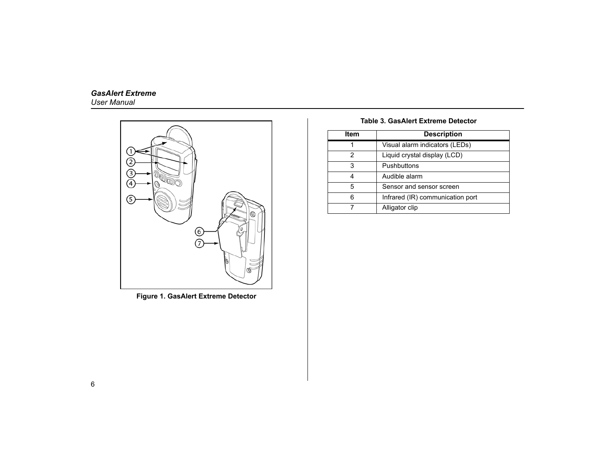

<span id="page-15-1"></span>**Figure 1. GasAlert Extreme Detector**

**Table 3. GasAlert Extreme Detector**

<span id="page-15-0"></span>

| ltem | <b>Description</b>               |  |  |
|------|----------------------------------|--|--|
|      | Visual alarm indicators (LEDs)   |  |  |
| 2    | Liquid crystal display (LCD)     |  |  |
| 3    | Pushbuttons                      |  |  |
|      | Audible alarm                    |  |  |
| 5    | Sensor and sensor screen         |  |  |
| հ    | Infrared (IR) communication port |  |  |
|      | Alligator clip                   |  |  |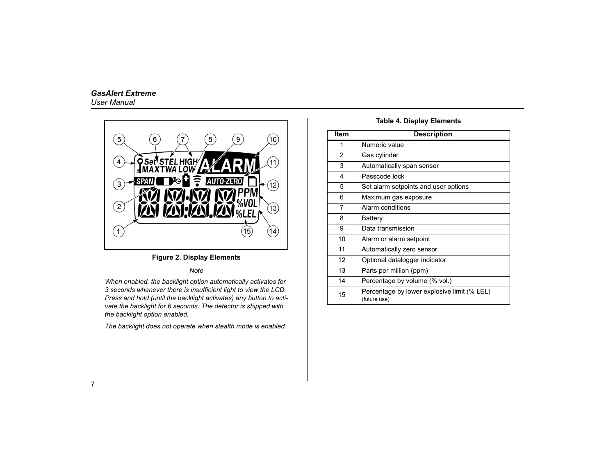

#### **Figure 2. Display Elements**

#### *Note*

<span id="page-16-1"></span>*When enabled, the backlight option automatically activates for 3 seconds whenever there is insufficient light to view the LCD. Press and hold (until the backlight activates) any button to activate the backlight for 6 seconds. The detector is shipped with the backlight option enabled.*

*The backlight does not operate when stealth mode is enabled.*

| Table 4. Display Elements |  |  |  |  |  |  |
|---------------------------|--|--|--|--|--|--|
|---------------------------|--|--|--|--|--|--|

<span id="page-16-0"></span>

| <b>Item</b> | <b>Description</b>                                          |
|-------------|-------------------------------------------------------------|
| 1           | Numeric value                                               |
| 2           | Gas cylinder                                                |
| 3           | Automatically span sensor                                   |
| 4           | Passcode lock                                               |
| 5           | Set alarm setpoints and user options                        |
| 6           | Maximum gas exposure                                        |
| 7           | Alarm conditions                                            |
| 8           | Battery                                                     |
| 9           | Data transmission                                           |
| 10          | Alarm or alarm setpoint                                     |
| 11          | Automatically zero sensor                                   |
| 12          | Optional datalogger indicator                               |
| 13          | Parts per million (ppm)                                     |
| 14          | Percentage by volume (% vol.)                               |
| 15          | Percentage by lower explosive limit (% LEL)<br>(future use) |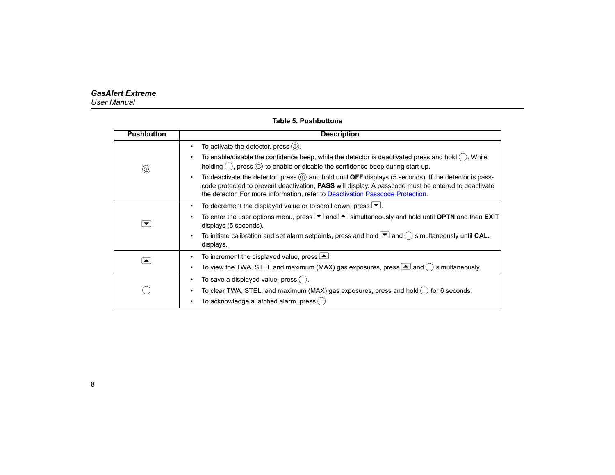#### **Table 5. Pushbuttons**

<span id="page-17-0"></span>

| <b>Pushbutton</b>    | <b>Description</b>                                                                                                                                                                                                                                                                                              |
|----------------------|-----------------------------------------------------------------------------------------------------------------------------------------------------------------------------------------------------------------------------------------------------------------------------------------------------------------|
|                      | To activate the detector, press $(0)$ .                                                                                                                                                                                                                                                                         |
| $^{\circledR}$       | To enable/disable the confidence beep, while the detector is deactivated press and hold $( )$ . While<br>holding $\bigcirc$ , press $\circledcirc$ to enable or disable the confidence beep during start-up.                                                                                                    |
|                      | To deactivate the detector, press $(0)$ and hold until OFF displays (5 seconds). If the detector is pass-<br>$\bullet$<br>code protected to prevent deactivation, PASS will display. A passcode must be entered to deactivate<br>the detector. For more information, refer to Deactivation Passcode Protection. |
|                      | To decrement the displayed value or to scroll down, press $\boxed{\blacktriangledown}$ .<br>٠                                                                                                                                                                                                                   |
| $\blacktriangledown$ | To enter the user options menu, press $\blacksquare$ and $\blacksquare$ simultaneously and hold until OPTN and then EXIT<br>displays (5 seconds).                                                                                                                                                               |
|                      | To initiate calibration and set alarm setpoints, press and hold $\blacktriangledown$ and $\bigcirc$ simultaneously until CAL.<br>displays.                                                                                                                                                                      |
| $\blacktriangle$     | To increment the displayed value, press $\triangle$ .<br>$\bullet$                                                                                                                                                                                                                                              |
|                      | To view the TWA, STEL and maximum (MAX) gas exposures, press $\triangle$ and $\heartsuit$ simultaneously.<br>٠                                                                                                                                                                                                  |
|                      | To save a displayed value, $pres( )$ .                                                                                                                                                                                                                                                                          |
|                      | To clear TWA, STEL, and maximum (MAX) gas exposures, press and hold $\bigcap$ for 6 seconds.                                                                                                                                                                                                                    |
|                      | To acknowledge a latched alarm, press ()                                                                                                                                                                                                                                                                        |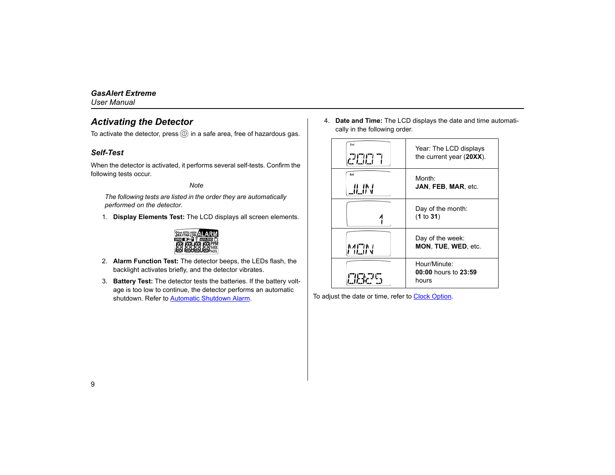### <span id="page-18-0"></span>*Activating the Detector*

To activate the detector, press  $\circledcirc$  in a safe area, free of hazardous gas.

### <span id="page-18-1"></span>*Self-Test*

When the detector is activated, it performs several self-tests. Confirm the following tests occur.

*Note*

*The following tests are listed in the order they are automatically performed on the detector.*

1. **Display Elements Test:** The LCD displays all screen elements.



- 2. **Alarm Function Test:** The detector beeps, the LEDs flash, the backlight activates briefly, and the detector vibrates.
- 3. **Battery Test:** The detector tests the batteries. If the battery voltage is too low to continue, the detector performs an automatic shutdown. Refer to <u>Automatic Shutdown Alarm</u>.

4. **Date and Time:** The LCD displays the date and time automatically in the following order.

| Set<br>2007  | Year: The LCD displays<br>the current year $(20XX)$ . |
|--------------|-------------------------------------------------------|
| Set<br>JI IN | Month:<br>JAN, FEB, MAR, etc.                         |
|              | Day of the month:<br>(1 to 31)                        |
| MEN          | Day of the week:<br>MON, TUE, WED, etc.               |
|              | Hour/Minute:<br>00:00 hours to 23:59<br>hours         |

To adjust the date or time, refer to [Clock Option](#page-24-1).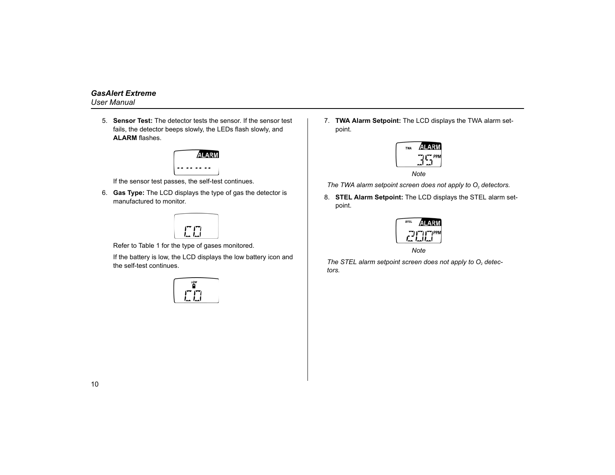5. **Sensor Test:** The detector tests the sensor. If the sensor test fails, the detector beeps slowly, the LEDs flash slowly, and **ALARM** flashes.



If the sensor test passes, the self-test continues.

6. **Gas Type:** The LCD displays the type of gas the detector is manufactured to monitor.

EП

Refer to Table 1 for the type of gases monitored.

If the battery is low, the LCD displays the low battery icon and the self-test continues.



7. **TWA Alarm Setpoint:** The LCD displays the TWA alarm setpoint.



*The TWA alarm setpoint screen does not apply to O<sub>2</sub> detectors.* 

8. **STEL Alarm Setpoint:** The LCD displays the STEL alarm setpoint.



*Note*

The STEL alarm setpoint screen does not apply to O<sub>2</sub> detec*tors.*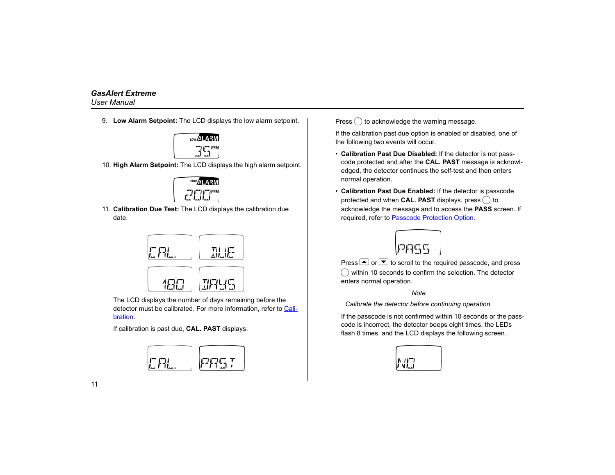9. **Low Alarm Setpoint:** The LCD displays the low alarm setpoint.



10. **High Alarm Setpoint:** The LCD displays the high alarm setpoint.



11. **Calibration Due Test:** The LCD displays the calibration due date.



The LCD displays the number of days remaining before the detector must be calibrated. For more information, refer to [Cali](#page-43-0)[bration](#page-43-0).

If calibration is past due, **CAL. PAST** displays.



 $Press$   $\cap$  to acknowledge the warning message.

If the calibration past due option is enabled or disabled, one of the following two events will occur.

- **Calibration Past Due Disabled:** If the detector is not passcode protected and after the **CAL. PAST** message is acknowledged, the detector continues the self-test and then enters normal operation.
- <span id="page-20-0"></span>• **Calibration Past Due Enabled:** If the detector is passcode protected and when **CAL. PAST** displays, press  $\bigcirc$  to acknowledge the message and to access the **PASS** screen. If required, refer to [Passcode Protection Option](#page-25-0).



Press  $\triangle$  or  $\triangledown$  to scroll to the required passcode, and press within 10 seconds to confirm the selection. The detector enters normal operation.

#### *Note*

*Calibrate the detector before continuing operation.*

If the passcode is not confirmed within 10 seconds or the passcode is incorrect, the detector beeps eight times, the LEDs flash 8 times, and the LCD displays the following screen.

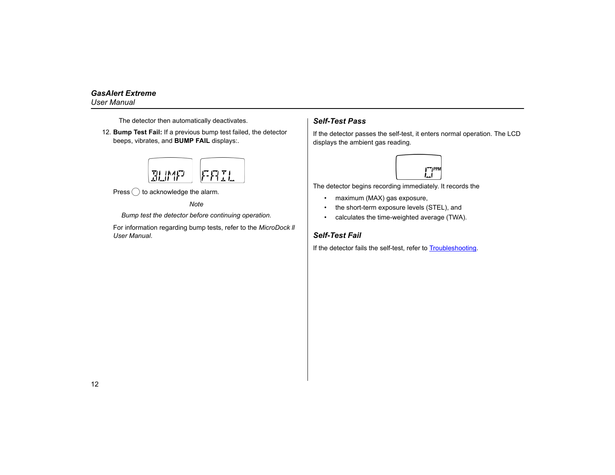The detector then automatically deactivates.

12. **Bump Test Fail:** If a previous bump test failed, the detector beeps, vibrates, and **BUMP FAIL** displays:.



 $Pres \bigcirc$  to acknowledge the alarm.

*Note*

*Bump test the detector before continuing operation.*

For information regarding bump tests, refer to the *MicroDock ll User Manual*.

### <span id="page-21-0"></span>*Self-Test Pass*

If the detector passes the self-test, it enters normal operation. The LCD displays the ambient gas reading.



The detector begins recording immediately. It records the

- •maximum (MAX) gas exposure,
- •the short-term exposure levels (STEL), and
- •calculates the time-weighted average (TWA).

### <span id="page-21-1"></span>*Self-Test Fail*

If the detector fails the self-test, refer to [Troubleshooting](#page-55-0).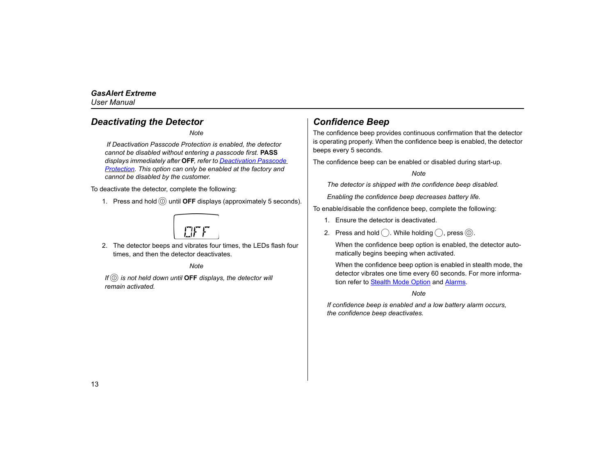### <span id="page-22-0"></span>*Deactivating the Detector*

*Note*

 *If Deactivation Passcode Protection is enabled, the detector cannot be disabled without entering a passcode first.* **PASS** *displays immediately after* **OFF***, refer to [Deactivation Passcode](#page-26-1)  [Protection](#page-26-1). This option can only be enabled at the factory and cannot be disabled by the customer.*

To deactivate the detector, complete the following:

1. Press and hold  $\circledcirc$  until **OFF** displays (approximately 5 seconds).



2. The detector beeps and vibrates four times, the LEDs flash four times, and then the detector deactivates.

*Note*

*If*  $\circled{0}$  *is not held down until* **OFF** displays, the detector will *remain activated.*

### <span id="page-22-1"></span>*Confidence Beep*

The confidence beep provides continuous confirmation that the detector is operating properly. When the confidence beep is enabled, the detector beeps every 5 seconds.

The confidence beep can be enabled or disabled during start-up.

*Note*

*The detector is shipped with the confidence beep disabled.*

*Enabling the confidence beep decreases battery life.*

To enable/disable the confidence beep, complete the following:

- 1. Ensure the detector is deactivated.
- 2. Press and hold  $\bigcap$ . While holding  $\bigcap$ , press  $\textcircled{\tiny{\textcircled{\tiny{0}}}}$ .

When the confidence beep option is enabled, the detector automatically begins beeping when activated.

When the confidence beep option is enabled in stealth mode, the detector vibrates one time every 60 seconds. For more information refer to [Stealth Mode Option](#page-27-0) and [Alarms](#page-35-0).

*Note*

*If confidence beep is enabled and a low battery alarm occurs, the confidence beep deactivates.*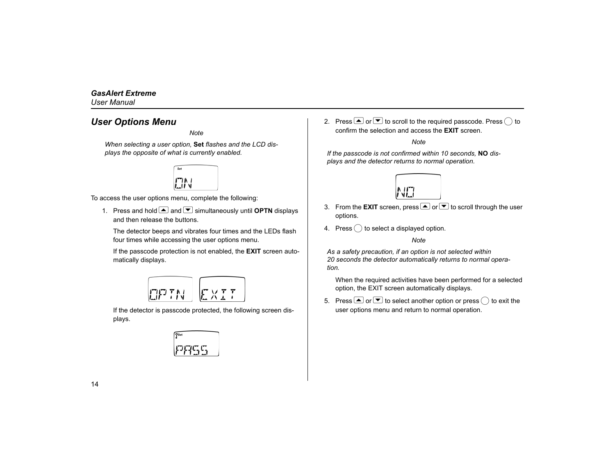### <span id="page-23-0"></span>*User Options Menu*

*Note*

*When selecting a user option,* **Set** *flashes and the LCD displays the opposite of what is currently enabled.*



To access the user options menu, complete the following:

1. Press and hold  $\triangle$  and  $\triangledown$  simultaneously until **OPTN** displays and then release the buttons.

The detector beeps and vibrates four times and the LEDs flash four times while accessing the user options menu.

If the passcode protection is not enabled, the **EXIT** screen automatically displays.



If the detector is passcode protected, the following screen displays.



2. Press  $\triangle$  or  $\triangle$  to scroll to the required passcode. Press  $\bigcirc$  to confirm the selection and access the **EXIT** screen.

*Note*

*If the passcode is not confirmed within 10 seconds,* **NO** *displays and the detector returns to normal operation.*



- 3. From the **EXIT** screen, press  $\triangle$  or  $\triangledown$  to scroll through the user options.
- 4. Press  $\bigcirc$  to select a displayed option.

#### *Note*

*As a safety precaution, if an option is not selected within 20 seconds the detector automatically returns to normal operation.*

When the required activities have been performed for a selected option, the EXIT screen automatically displays.

5. Press  $\triangle$  or  $\blacktriangledown$  to select another option or press  $\bigcirc$  to exit the user options menu and return to normal operation.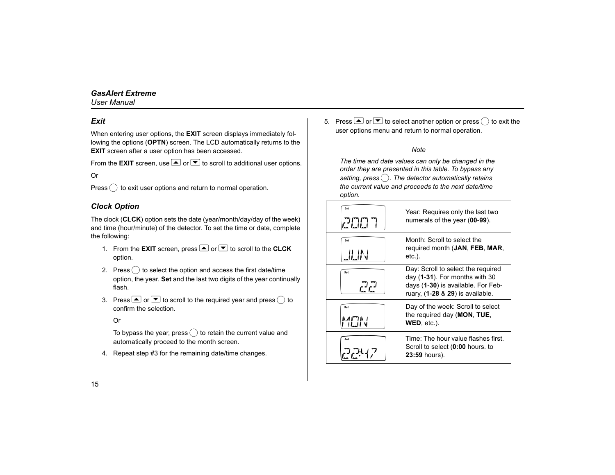### <span id="page-24-0"></span>*Exit*

When entering user options, the **EXIT** screen displays immediately following the options (**OPTN**) screen. The LCD automatically returns to the **EXIT** screen after a user option has been accessed.

From the **EXIT** screen, use  $\triangle$  or  $\triangle$  to scroll to additional user options.

Or

Press  $\bigcap$  to exit user options and return to normal operation.

### <span id="page-24-1"></span>*Clock Option*

The clock (**CLCK**) option sets the date (year/month/day/day of the week) and time (hour/minute) of the detector. To set the time or date, complete the following:

- 1. From the **EXIT** screen, press **O** or **E** to scroll to the **CLCK** option.
- 2. Press  $\bigcirc$  to select the option and access the first date/time option, the year. **Set** and the last two digits of the year continually flash.
- 3. Press  $\triangle$  or  $\blacktriangledown$  to scroll to the required year and press  $\bigcirc$  to confirm the selection.

Or

To bypass the year, press  $\bigcap$  to retain the current value and automatically proceed to the month screen.

4. Repeat step #3 for the remaining date/time changes.

5. Press  $\triangle$  or  $\triangle$  to select another option or press  $\bigcirc$  to exit the user options menu and return to normal operation.

#### *Note*

*The time and date values can only be changed in the order they are presented in this table. To bypass any setting, press* C*. The detector automatically retains the current value and proceeds to the next date/time option.*

| Set<br>2007    | Year: Requires only the last two<br>numerals of the year (00-99).                                                                                    |
|----------------|------------------------------------------------------------------------------------------------------------------------------------------------------|
| Set            | Month: Scroll to select the<br>required month (JAN, FEB, MAR,<br>etc.).                                                                              |
| Set<br>ليمونهم | Day: Scroll to select the required<br>day $(1-31)$ . For months with 30<br>days (1-30) is available. For Feb-<br>ruary, $(1-28 \& 29)$ is available. |
| Set<br>MF IN   | Day of the week: Scroll to select<br>the required day (MON, TUE,<br>WED, etc.).                                                                      |
| Set            | Time: The hour value flashes first.<br>Scroll to select (0:00 hours, to<br>23:59 hours).                                                             |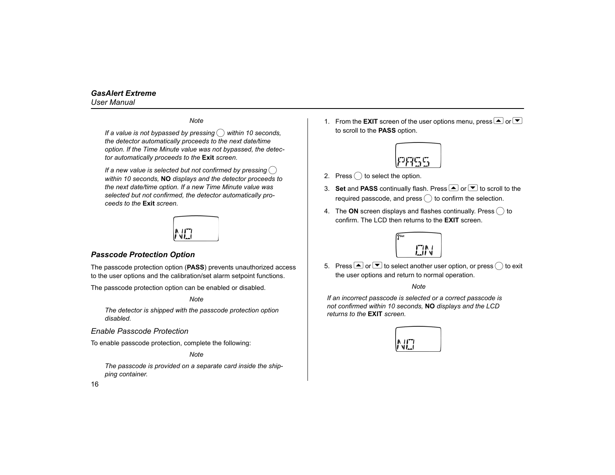*Note*

*If a value is not bypassed by pressing*  $\bigcirc$  *within 10 seconds, the detector automatically proceeds to the next date/time option. If the Time Minute value was not bypassed, the detector automatically proceeds to the* **Exit** *screen.*

*If a new value is selected but not confirmed by pressing*  $\binom{1}{k}$ *within 10 seconds,* **NO** *displays and the detector proceeds to the next date/time option. If a new Time Minute value was selected but not confirmed, the detector automatically proceeds to the* **Exit** *screen.*



### <span id="page-25-0"></span>*Passcode Protection Option*

The passcode protection option (**PASS**) prevents unauthorized access to the user options and the calibration/set alarm setpoint functions.

The passcode protection option can be enabled or disabled.

#### *Note*

*The detector is shipped with the passcode protection option disabled.*

#### <span id="page-25-1"></span>*Enable Passcode Protection*

To enable passcode protection, complete the following:

#### *Note*

*The passcode is provided on a separate card inside the shipping container.*

1. From the **EXIT** screen of the user options menu, press  $\triangle$  or  $\blacktriangledown$ to scroll to the **PASS** option.



- 2. Press  $\bigcirc$  to select the option.
- 3. **Set** and **PASS** continually flash. Press **△** or to scroll to the required passcode, and press  $\bigcirc$  to confirm the selection.
- 4. The **ON** screen displays and flashes continually. Press  $\bigcirc$  to confirm. The LCD then returns to the **EXIT** screen.



5. Press  $\triangle$  or  $\blacktriangledown$  to select another user option, or press  $\bigcirc$  to exit the user options and return to normal operation.

#### *Note*

*If an incorrect passcode is selected or a correct passcode is not confirmed within 10 seconds,* **NO** *displays and the LCD returns to the* **EXIT** *screen.*

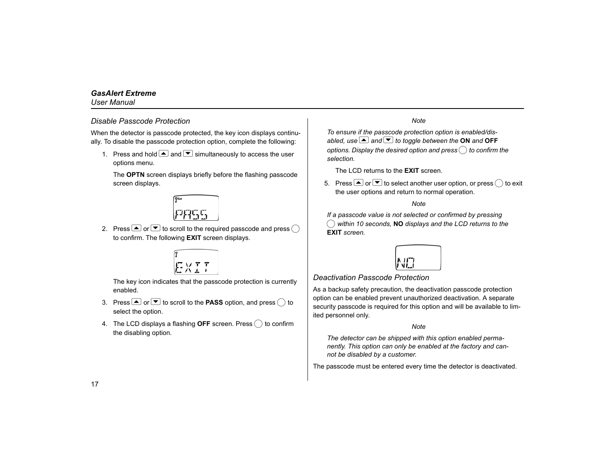### <span id="page-26-0"></span>*Disable Passcode Protection*

When the detector is passcode protected, the key icon displays continually. To disable the passcode protection option, complete the following:

1. Press and hold  $\triangle$  and  $\blacktriangledown$  simultaneously to access the user options menu.

The **OPTN** screen displays briefly before the flashing passcode screen displays.



2. Press  $\triangle$  or  $\triangledown$  to scroll to the required passcode and press  $\bigcap$ to confirm. The following **EXIT** screen displays.

The key icon indicates that the passcode protection is currently enabled.

- 3. Press  $\triangle$  or  $\blacktriangledown$  to scroll to the **PASS** option, and press  $\bigcirc$  to select the option.
- 4. The LCD displays a flashing **OFF** screen. Press  $\bigcirc$  to confirm the disabling option.

#### *Note*

*To ensure if the passcode protection option is enabled/disabled, use* **△** and ▼ to toggle between the **ON** and **OFF** *options. Display the desired option and press* C *to confirm the selection.*

The LCD returns to the **EXIT** screen.

5. Press  $\triangle$  or  $\triangle$  to select another user option, or press  $\bigcirc$  to exit the user options and return to normal operation.

*Note*

*If a passcode value is not selected or confirmed by pressing*  C *within 10 seconds,* **NO** *displays and the LCD returns to the*  **EXIT** *screen.*



#### <span id="page-26-1"></span>*Deactivation Passcode Protection*

As a backup safety precaution, the deactivation passcode protection option can be enabled prevent unauthorized deactivation. A separate security passcode is required for this option and will be available to limited personnel only.

*Note*

*The detector can be shipped with this option enabled permanently. This option can only be enabled at the factory and cannot be disabled by a customer.*

The passcode must be entered every time the detector is deactivated.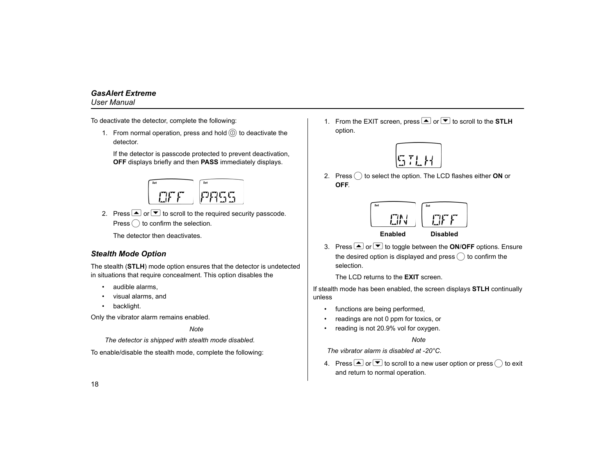To deactivate the detector, complete the following:

1. From normal operation, press and hold  $\circled{0}$  to deactivate the detector.

If the detector is passcode protected to prevent deactivation, **OFF** displays briefly and then **PASS** immediately displays.



2. Press  $\triangle$  or  $\triangle$  to scroll to the required security passcode.  $Press$   $\bigcirc$  to confirm the selection.

The detector then deactivates.

### <span id="page-27-0"></span>*Stealth Mode Option*

The stealth (**STLH**) mode option ensures that the detector is undetected in situations that require concealment. This option disables the

- •audible alarms,
- •visual alarms, and
- •backlight.

Only the vibrator alarm remains enabled.

#### *Note*

*The detector is shipped with stealth mode disabled.*

To enable/disable the stealth mode, complete the following:

1. From the EXIT screen, press **O** or **E** to scroll to the **STLH** option.



2. Press  $\bigcirc$  to select the option. The LCD flashes either **ON** or **OFF**.



**Enabled Disabled**

3. Press  $\triangleq$  or  $\triangleq$  to toggle between the **ON/OFF** options. Ensure the desired option is displayed and press  $\bigcirc$  to confirm the selection.

The LCD returns to the **EXIT** screen.

If stealth mode has been enabled, the screen displays **STLH** continually unless

- •functions are being performed,
- readings are not 0 ppm for toxics, or
- •reading is not 20.9% vol for oxygen.

*Note*

*The vibrator alarm is disabled at -20°C.*

4. Press  $\triangle$  or  $\blacktriangledown$  to scroll to a new user option or press  $\bigcirc$  to exit and return to normal operation.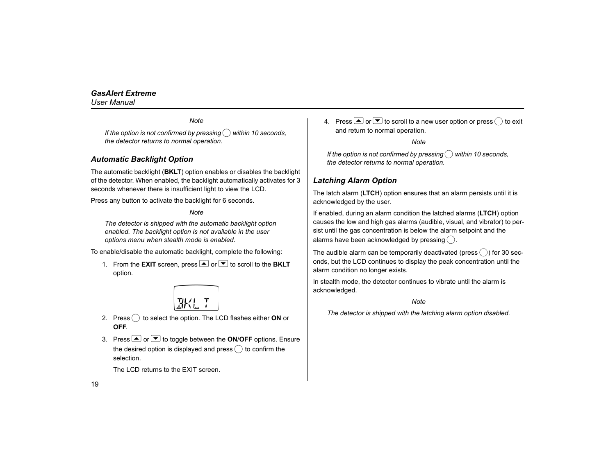*Note*

*If the option is not confirmed by pressing*  $\bigcirc$  *within 10 seconds, the detector returns to normal operation.*

### <span id="page-28-0"></span>*Automatic Backlight Option*

The automatic backlight (**BKLT**) option enables or disables the backlight of the detector. When enabled, the backlight automatically activates for 3 seconds whenever there is insufficient light to view the LCD.

Press any button to activate the backlight for 6 seconds.

#### *Note*

*The detector is shipped with the automatic backlight option enabled. The backlight option is not available in the user options menu when stealth mode is enabled.*

To enable/disable the automatic backlight, complete the following:

1. From the **EXIT** screen, press **O** or **E** to scroll to the **BKLT** option.



- 2. Press  $\bigcirc$  to select the option. The LCD flashes either **ON** or **OFF**.
- 3. Press **A** or ▼ to toggle between the **ON/OFF** options. Ensure the desired option is displayed and press  $\bigcap$  to confirm the selection.

The LCD returns to the EXIT screen.

4. Press  $\blacksquare$  or  $\blacktriangledown$  to scroll to a new user option or press  $\bigcirc$  to exit and return to normal operation.

#### *Note*

*If the option is not confirmed by pressing*  $\bigcirc$  *within 10 seconds, the detector returns to normal operation.*

#### <span id="page-28-1"></span>*Latching Alarm Option*

The latch alarm (**LTCH**) option ensures that an alarm persists until it is acknowledged by the user.

If enabled, during an alarm condition the latched alarms (**LTCH**) option causes the low and high gas alarms (audible, visual, and vibrator) to persist until the gas concentration is below the alarm setpoint and the alarms have been acknowledged by pressing  $\bigcap$ .

The audible alarm can be temporarily deactivated (press  $\bigcirc$ ) for 30 seconds, but the LCD continues to display the peak concentration until the alarm condition no longer exists.

In stealth mode, the detector continues to vibrate until the alarm is acknowledged.

*Note*

*The detector is shipped with the latching alarm option disabled.*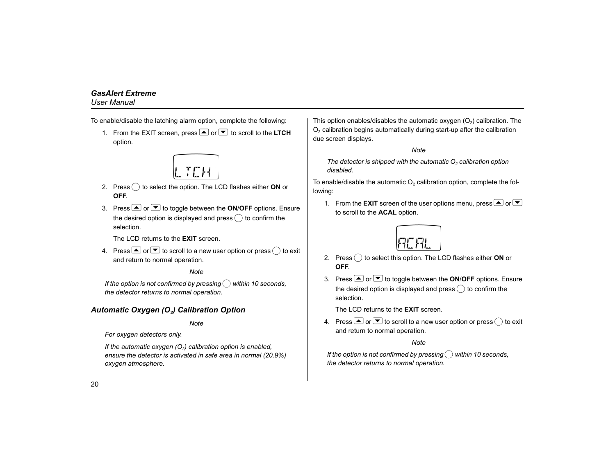To enable/disable the latching alarm option, complete the following:

1. From the EXIT screen, press  $\blacksquare$  or  $\blacktriangledown$  to scroll to the LTCH option.



- 2. Press  $\bigcirc$  to select the option. The LCD flashes either **ON** or **OFF**.
- 3. Press **A** or **▼** to toggle between the **ON/OFF** options. Ensure the desired option is displayed and press  $\bigcirc$  to confirm the selection.

The LCD returns to the **EXIT** screen.

4. Press  $\blacksquare$  or  $\blacktriangledown$  to scroll to a new user option or press  $\bigcirc$  to exit and return to normal operation.

*Note*

*If the option is not confirmed by pressing*  $\bigcirc$  *within 10 seconds, the detector returns to normal operation.*

### <span id="page-29-0"></span>*Automatic Oxygen (O2) Calibration Option*

*Note*

*For oxygen detectors only.*

*If the automatic oxygen (O<sub>2</sub>) calibration option is enabled, ensure the detector is activated in safe area in normal (20.9%) oxygen atmosphere.*

This option enables/disables the automatic oxygen  $(O<sub>2</sub>)$  calibration. The  $O<sub>2</sub>$  calibration begins automatically during start-up after the calibration due screen displays.

*Note*

*The detector is shipped with the automatic O<sub>2</sub> calibration option disabled.*

To enable/disable the automatic  $O<sub>2</sub>$  calibration option, complete the following:

1. From the **EXIT** screen of the user options menu, press  $\triangle$  or  $\triangle$ to scroll to the **ACAL** option.



- 2. Press  $\bigcirc$  to select this option. The LCD flashes either **ON** or **OFF**.
- 3. Press **△** or ▼ to toggle between the **ON/OFF** options. Ensure the desired option is displayed and press  $\bigcirc$  to confirm the selection.

The LCD returns to the **EXIT** screen.

4. Press  $\Box$  or  $\Box$  to scroll to a new user option or press  $\bigcirc$  to exit and return to normal operation.

*Note*

*If the option is not confirmed by pressing*  $\bigcirc$  *within 10 seconds. the detector returns to normal operation.*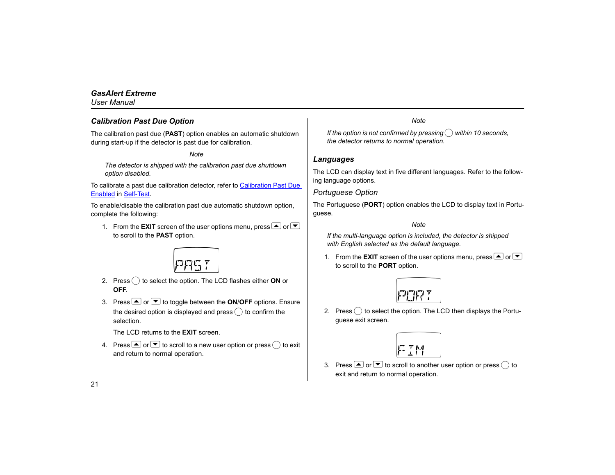### <span id="page-30-0"></span>*Calibration Past Due Option*

The calibration past due (**PAST**) option enables an automatic shutdown during start-up if the detector is past due for calibration.

*Note*

*The detector is shipped with the calibration past due shutdown option disabled.*

To calibrate a past due calibration detector, refer to [Calibration Past Due](#page-20-0)  [Enabled](#page-20-0) in [Self-Test](#page-18-1).

To enable/disable the calibration past due automatic shutdown option, complete the following:

1. From the **EXIT** screen of the user options menu, press  $\triangle$  or  $\triangle$ to scroll to the **PAST** option.

- 2. Press  $\bigcirc$  to select the option. The LCD flashes either **ON** or **OFF**.
- 3. Press **A** or **▼** to toggle between the **ON/OFF** options. Ensure the desired option is displayed and press  $\bigcap$  to confirm the selection.

The LCD returns to the **EXIT** screen.

4. Press  $\blacksquare$  or  $\blacktriangledown$  to scroll to a new user option or press  $\bigcirc$  to exit and return to normal operation.

*Note*

*If the option is not confirmed by pressing*  $\bigcirc$  *within 10 seconds, the detector returns to normal operation.*

### <span id="page-30-1"></span>*Languages*

The LCD can display text in five different languages. Refer to the following language options.

#### <span id="page-30-2"></span>*Portuguese Option*

The Portuguese (**PORT**) option enables the LCD to display text in Portuguese.

*Note*

*If the multi-language option is included, the detector is shipped with English selected as the default language.*

1. From the **EXIT** screen of the user options menu, press  $\triangle$  or  $\triangle$ to scroll to the **PORT** option.



2. Press  $\bigcirc$  to select the option. The LCD then displays the Portuguese exit screen.



3. Press  $\triangle$  or  $\triangle$  to scroll to another user option or press  $\bigcirc$  to exit and return to normal operation.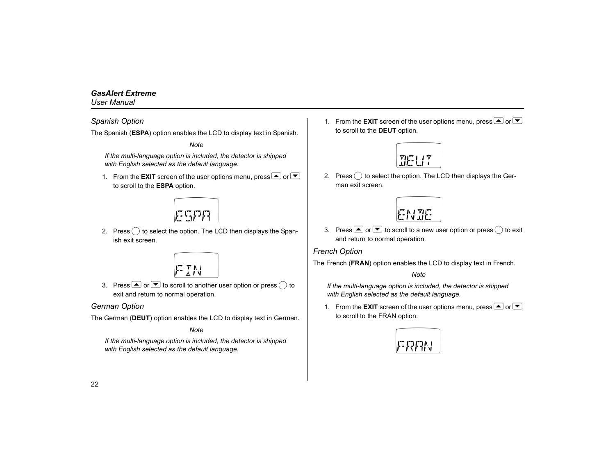#### <span id="page-31-0"></span>*Spanish Option*

The Spanish (**ESPA**) option enables the LCD to display text in Spanish.

*Note*

*If the multi-language option is included, the detector is shipped with English selected as the default language.*

1. From the **EXIT** screen of the user options menu, press  $\triangle$  or  $\triangle$ to scroll to the **ESPA** option.



2. Press  $\bigcap$  to select the option. The LCD then displays the Spanish exit screen.

FIN

3. Press  $\triangle$  or  $\triangle$  to scroll to another user option or press  $\bigcirc$  to exit and return to normal operation.

### <span id="page-31-1"></span>*German Option*

The German (**DEUT**) option enables the LCD to display text in German.

*Note*

*If the multi-language option is included, the detector is shipped with English selected as the default language.*

1. From the **EXIT** screen of the user options menu, press  $\triangle$  or  $\blacktriangledown$ to scroll to the **DEUT** option.



2. Press  $\bigcirc$  to select the option. The LCD then displays the German exit screen.



3. Press  $\triangle$  or  $\blacktriangledown$  to scroll to a new user option or press  $\bigcirc$  to exit and return to normal operation.

#### <span id="page-31-2"></span>*French Option*

The French (**FRAN**) option enables the LCD to display text in French.

*Note*

*If the multi-language option is included, the detector is shipped with English selected as the default language.*

1. From the **EXIT** screen of the user options menu, press  $\triangle$  or  $\triangle$ to scroll to the FRAN option.

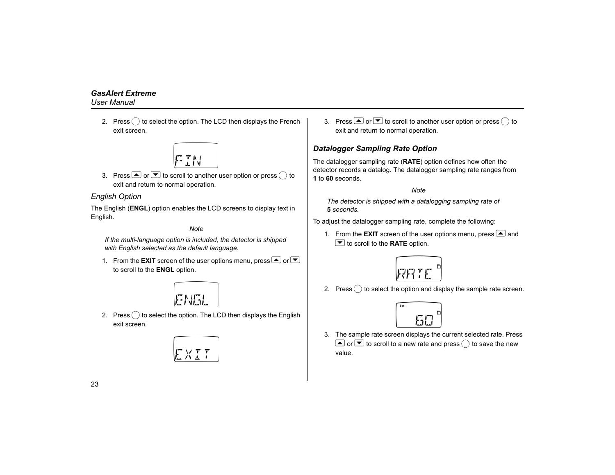2. Press  $\bigcirc$  to select the option. The LCD then displays the French exit screen.

3. Press  $\blacksquare$  or  $\blacktriangledown$  to scroll to another user option or press  $\bigcirc$  to exit and return to normal operation.

### <span id="page-32-0"></span>*English Option*

The English (**ENGL**) option enables the LCD screens to display text in English.

#### *Note*

*If the multi-language option is included, the detector is shipped with English selected as the default language.*

1. From the **EXIT** screen of the user options menu, press  $\triangle$  or  $\triangle$ to scroll to the **ENGL** option.

2. Press  $\bigcirc$  to select the option. The LCD then displays the English exit screen.

$$
\overbrace{\mathbb{E}\times\mathbb{I}}^{\mathcal{N}}\mathcal{I}^{\mathcal{T}}
$$

3. Press  $\triangle$  or  $\triangle$  to scroll to another user option or press  $\bigcirc$  to exit and return to normal operation.

### <span id="page-32-1"></span>*Datalogger Sampling Rate Option*

The datalogger sampling rate (**RATE**) option defines how often the detector records a datalog. The datalogger sampling rate ranges from **1** to **60** seconds.

*Note*

*The detector is shipped with a datalogging sampling rate of*  **5** *seconds.*

To adjust the datalogger sampling rate, complete the following:

1. From the **EXIT** screen of the user options menu, press  $\triangle$  and E to scroll to the **RATE** option.



2. Press  $\bigcirc$  to select the option and display the sample rate screen.



3. The sample rate screen displays the current selected rate. Press  $\blacksquare$  or  $\blacksquare$  to scroll to a new rate and press  $\bigcirc$  to save the new value.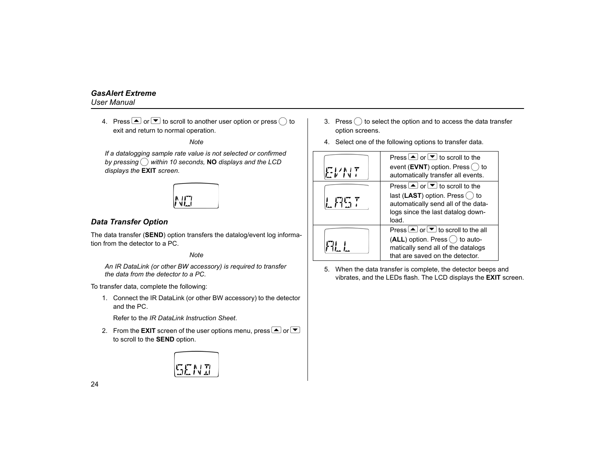4. Press  $\triangle$  or  $\triangle$  to scroll to another user option or press  $\bigcirc$  to exit and return to normal operation.

*Note*

*If a datalogging sample rate value is not selected or confirmed by pressing* C *within 10 seconds,* **NO** *displays and the LCD displays the* **EXIT** *screen.*



### <span id="page-33-0"></span>*Data Transfer Option*

The data transfer (**SEND**) option transfers the datalog/event log information from the detector to a PC.

*Note*

*An IR DataLink (or other BW accessory) is required to transfer the data from the detector to a PC.*

To transfer data, complete the following:

1. Connect the IR DataLink (or other BW accessory) to the detector and the PC.

Refer to the *IR DataLink Instruction Sheet*.

- 2. From the **EXIT** screen of the user options menu, press  $\triangle$  or  $\triangle$ to scroll to the **SEND** option.
	-
- 3. Press  $\binom{1}{1}$  to select the option and to access the data transfer option screens.
- 4. Select one of the following options to transfer data.



5. When the data transfer is complete, the detector beeps and vibrates, and the LEDs flash. The LCD displays the **EXIT** screen.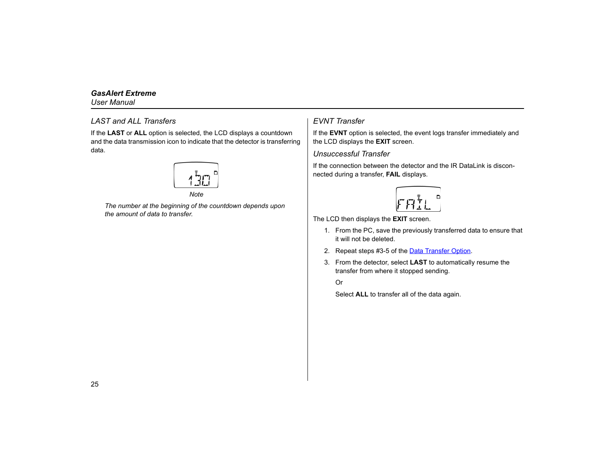### <span id="page-34-0"></span>*LAST and ALL Transfers*

If the **LAST** or **ALL** option is selected, the LCD displays a countdown and the data transmission icon to indicate that the detector is transferring data.



*Note*

*The number at the beginning of the countdown depends upon the amount of data to transfer.*

### <span id="page-34-1"></span>*EVNT Transfer*

If the **EVNT** option is selected, the event logs transfer immediately and the LCD displays the **EXIT** screen.

#### <span id="page-34-2"></span>*Unsuccessful Transfer*

If the connection between the detector and the IR DataLink is disconnected during a transfer, **FAIL** displays.



The LCD then displays the **EXIT** screen.

- 1. From the PC, save the previously transferred data to ensure that it will not be deleted.
- 2. Repeat steps #3-5 of the [Data Transfer Option](#page-33-0).
- 3. From the detector, select **LAST** to automatically resume the transfer from where it stopped sending.

Or

Select **ALL** to transfer all of the data again.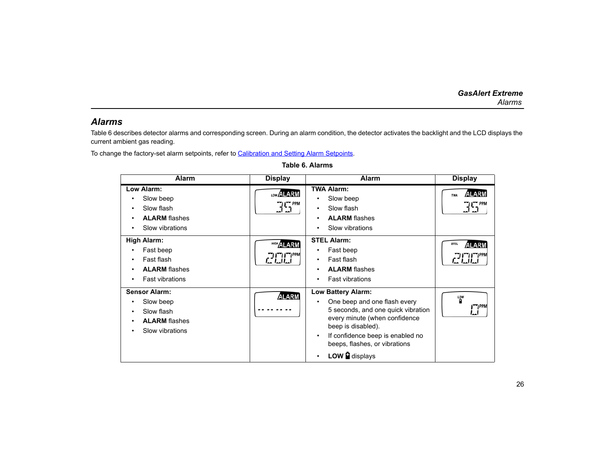### <span id="page-35-0"></span>*Alarms*

Table 6 describes detector alarms and corresponding screen. During an alarm condition, the detector activates the backlight and the LCD displays the current ambient gas reading.

<span id="page-35-1"></span>To change the factory-set alarm setpoints, refer to **Calibration and Setting Alarm Setpoints**.

| <b>Alarm</b>                                                                                    | <b>Display</b>                      | <b>Alarm</b>                                                                                                                                                                                                                                                   | <b>Display</b>                                          |
|-------------------------------------------------------------------------------------------------|-------------------------------------|----------------------------------------------------------------------------------------------------------------------------------------------------------------------------------------------------------------------------------------------------------------|---------------------------------------------------------|
| Low Alarm:<br>Slow beep<br>Slow flash<br><b>ALARM</b> flashes<br>Slow vibrations                | Low <b>ALARM</b><br>35mm            | <b>TWA Alarm:</b><br>Slow beep<br>Slow flash<br>$\bullet$<br><b>ALARM</b> flashes<br>٠<br>Slow vibrations                                                                                                                                                      | <b>ALARM</b><br><b>TWA</b><br>$\mathbb{E}^{\mathsf{m}}$ |
| <b>High Alarm:</b><br>Fast beep<br>Fast flash<br><b>ALARM</b> flashes<br><b>Fast vibrations</b> | <b>HIGH</b> ALARM<br>$E^{\text{L}}$ | <b>STEL Alarm:</b><br>Fast beep<br>٠<br>Fast flash<br>$\bullet$<br><b>ALARM</b> flashes<br>$\bullet$<br><b>Fast vibrations</b><br>$\bullet$                                                                                                                    | <b>ALARM</b><br><b>STEL</b><br>$CCT^{\text{PPM}}$       |
| <b>Sensor Alarm:</b><br>Slow beep<br>Slow flash<br><b>ALARM</b> flashes<br>Slow vibrations      | <b>ALARM</b>                        | Low Battery Alarm:<br>One beep and one flash every<br>5 seconds, and one quick vibration<br>every minute (when confidence<br>beep is disabled).<br>If confidence beep is enabled no<br>$\bullet$<br>beeps, flashes, or vibrations<br>LOW displays<br>$\bullet$ | µow<br>ا<br>'IPPM                                       |

#### **Table 6. Alarms**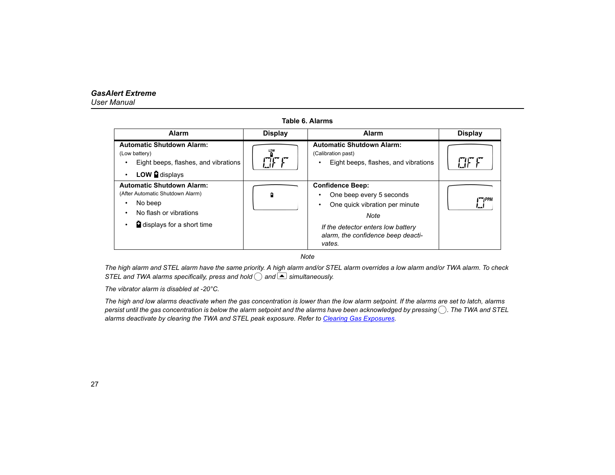| <b>Alarm</b>                                                                                                                           | <b>Display</b> | <b>Alarm</b>                                                                                                                                                                                  | <b>Display</b> |
|----------------------------------------------------------------------------------------------------------------------------------------|----------------|-----------------------------------------------------------------------------------------------------------------------------------------------------------------------------------------------|----------------|
| <b>Automatic Shutdown Alarm:</b><br>(Low battery)<br>Eight beeps, flashes, and vibrations<br>LOW displays                              | ाः             | <b>Automatic Shutdown Alarm:</b><br>(Calibration past)<br>Eight beeps, flashes, and vibrations<br>$\bullet$                                                                                   | #              |
| <b>Automatic Shutdown Alarm:</b><br>(After Automatic Shutdown Alarm)<br>No beep<br>No flash or vibrations<br>displays for a short time |                | <b>Confidence Beep:</b><br>One beep every 5 seconds<br>٠<br>One quick vibration per minute<br>٠<br>Note<br>If the detector enters low battery<br>alarm, the confidence beep deacti-<br>vates. |                |

**Table 6. Alarms**

*Note*

*The high alarm and STEL alarm have the same priority. A high alarm and/or STEL alarm overrides a low alarm and/or TWA alarm. To check STEL and TWA alarms specifically, press and hold*  $\cap$  and  $\blacktriangle$  *simultaneously.* 

*The vibrator alarm is disabled at -20°C.*

*The high and low alarms deactivate when the gas concentration is lower than the low alarm setpoint. If the alarms are set to latch, alarms persist until the gas concentration is below the alarm setpoint and the alarms have been acknowledged by pressing*  $\cap$ . The TWA and STEL *alarms deactivate by clearing the TWA and STEL peak exposure. Refer to [Clearing Gas Exposures](#page-39-0).*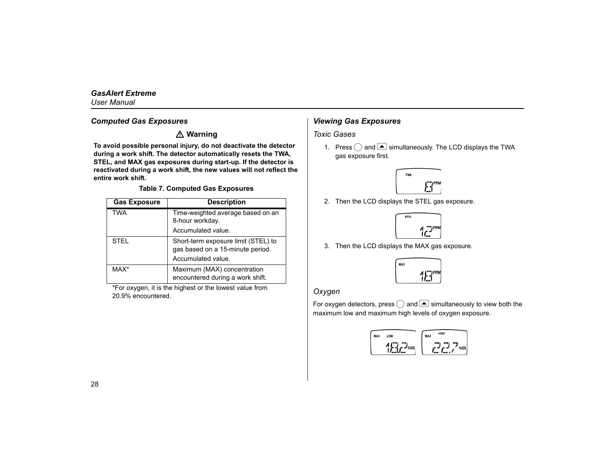### <span id="page-37-0"></span>*Computed Gas Exposures*

### a **Warning**

**To avoid possible personal injury, do not deactivate the detector during a work shift. The detector automatically resets the TWA, STEL, and MAX gas exposures during start-up. If the detector is reactivated during a work shift, the new values will not reflect the entire work shift.**

#### **Table 7. Computed Gas Exposures**

<span id="page-37-4"></span>

| <b>Gas Exposure</b> | <b>Description</b>                                                      |
|---------------------|-------------------------------------------------------------------------|
| TWA                 | Time-weighted average based on an<br>8-hour workday.                    |
|                     | Accumulated value.                                                      |
| STEL                | Short-term exposure limit (STEL) to<br>gas based on a 15-minute period. |
|                     | Accumulated value.                                                      |
| $MAX*$              | Maximum (MAX) concentration<br>encountered during a work shift.         |

\*For oxygen, it is the highest or the lowest value from 20.9% encountered.

### <span id="page-37-1"></span>*Viewing Gas Exposures*

<span id="page-37-2"></span>*Toxic Gases*

1. Press  $\bigcap$  and  $\blacktriangle$  simultaneously. The LCD displays the TWA gas exposure first.



2. Then the LCD displays the STEL gas exposure.



3. Then the LCD displays the MAX gas exposure.



### <span id="page-37-3"></span>*Oxygen*

For oxygen detectors, press  $\bigcap$  and  $\blacktriangle$  simultaneously to view both the maximum low and maximum high levels of oxygen exposure.

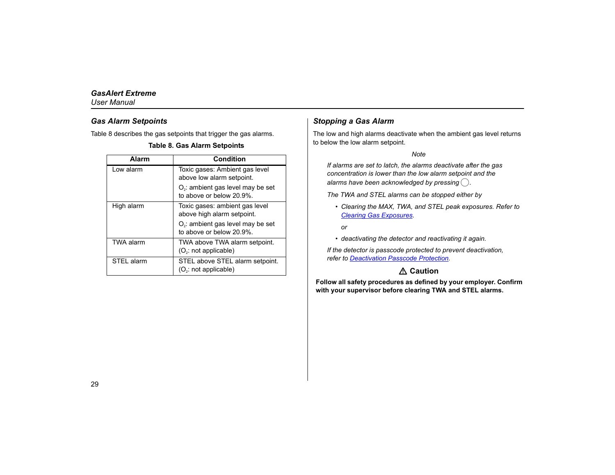#### <span id="page-38-0"></span>*Gas Alarm Setpoints*

<span id="page-38-2"></span>Table 8 describes the gas setpoints that trigger the gas alarms.

#### **Table 8. Gas Alarm Setpoints**

| Alarm            | Condition                                                                 |
|------------------|---------------------------------------------------------------------------|
| Low alarm        | Toxic gases: Ambient gas level<br>above low alarm setpoint.               |
|                  | O <sub>2</sub> : ambient gas level may be set<br>to above or below 20.9%. |
| High alarm       | Toxic gases: ambient gas level<br>above high alarm setpoint.              |
|                  | O <sub>2</sub> : ambient gas level may be set<br>to above or below 20.9%. |
| <b>TWA alarm</b> | TWA above TWA alarm setpoint.<br>(O <sub>2</sub> : not applicable)        |
| STEL alarm       | STEL above STEL alarm setpoint.<br>(O <sub>2</sub> : not applicable)      |

### <span id="page-38-1"></span>*Stopping a Gas Alarm*

The low and high alarms deactivate when the ambient gas level returns to below the low alarm setpoint.

#### *Note*

*If alarms are set to latch, the alarms deactivate after the gas concentration is lower than the low alarm setpoint and the alarms have been acknowledged by pressing*  $($ *).* 

*The TWA and STEL alarms can be stopped either by*

*• Clearing the MAX, TWA, and STEL peak exposures. Refer to [Clearing Gas Exposures](#page-39-0).*

*or*

*• deactivating the detector and reactivating it again.*

*If the detector is passcode protected to prevent deactivation, refer to [Deactivation Passcode Protection](#page-26-1).*

### a **Caution**

**Follow all safety procedures as defined by your employer. Confirm with your supervisor before clearing TWA and STEL alarms.**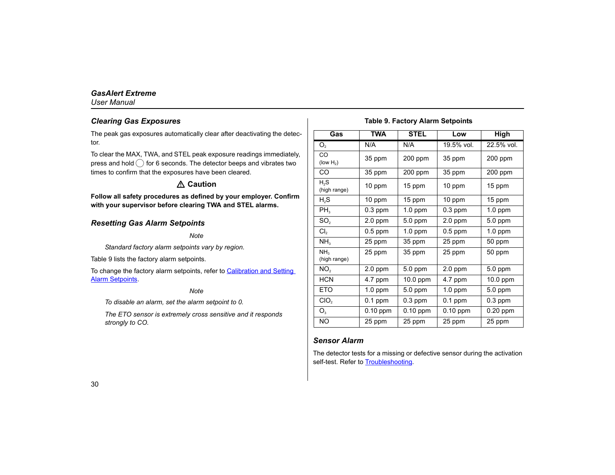### <span id="page-39-0"></span>*Clearing Gas Exposures*

The peak gas exposures automatically clear after deactivating the detector.

To clear the MAX, TWA, and STEL peak exposure readings immediately, press and hold  $\bigcirc$  for 6 seconds. The detector beeps and vibrates two times to confirm that the exposures have been cleared.

### a **Caution**

**Follow all safety procedures as defined by your employer. Confirm with your supervisor before clearing TWA and STEL alarms.**

### <span id="page-39-1"></span>*Resetting Gas Alarm Setpoints*

*Note*

*Standard factory alarm setpoints vary by region.*

Table 9 lists the factory alarm setpoints.

To change the factory alarm setpoints, refer to Calibration and Setting [Alarm Setpoints](#page-41-0).

#### *Note*

*To disable an alarm, set the alarm setpoint to 0.*

*The ETO sensor is extremely cross sensitive and it responds strongly to CO.*

#### **Table 9. Factory Alarm Setpoints**

<span id="page-39-3"></span>

| Gas                              | <b>TWA</b> | <b>STEL</b> | Low        | High       |
|----------------------------------|------------|-------------|------------|------------|
| O,                               | N/A        | N/A         | 19.5% vol. | 22.5% vol. |
| CO<br>(low $H2$ )                | 35 ppm     | 200 ppm     | 35 ppm     | 200 ppm    |
| CO                               | 35 ppm     | 200 ppm     | 35 ppm     | 200 ppm    |
| H <sub>2</sub> S<br>(high range) | 10 ppm     | 15 ppm      | 10 ppm     | 15 ppm     |
| H,S                              | 10 ppm     | 15 ppm      | 10 ppm     | 15 ppm     |
| $PH_3$                           | $0.3$ ppm  | $1.0$ ppm   | $0.3$ ppm  | $1.0$ ppm  |
| SO <sub>2</sub>                  | $2.0$ ppm  | $5.0$ ppm   | $2.0$ ppm  | $5.0$ ppm  |
| Cl <sub>2</sub>                  | $0.5$ ppm  | $1.0$ ppm   | $0.5$ ppm  | 1.0 ppm    |
| NH <sub>3</sub>                  | 25 ppm     | 35 ppm      | 25 ppm     | 50 ppm     |
| NΗ,<br>(high range)              | 25 ppm     | 35 ppm      | 25 ppm     | 50 ppm     |
| NO <sub>2</sub>                  | $2.0$ ppm  | 5.0 ppm     | $2.0$ ppm  | 5.0 ppm    |
| <b>HCN</b>                       | $4.7$ ppm  | $10.0$ ppm  | 4.7 ppm    | 10.0 ppm   |
| <b>ETO</b>                       | $1.0$ ppm  | 5.0 ppm     | $1.0$ ppm  | 5.0 ppm    |
| CIO <sub>2</sub>                 | $0.1$ ppm  | $0.3$ ppm   | $0.1$ ppm  | $0.3$ ppm  |
| $O_3$                            | $0.10$ ppm | 0.10 ppm    | 0.10 ppm   | 0.20 ppm   |
| NO                               | 25 ppm     | 25 ppm      | 25 ppm     | 25 ppm     |

#### <span id="page-39-2"></span>*Sensor Alarm*

The detector tests for a missing or defective sensor during the activation self-test. Refer to [Troubleshooting](#page-55-0).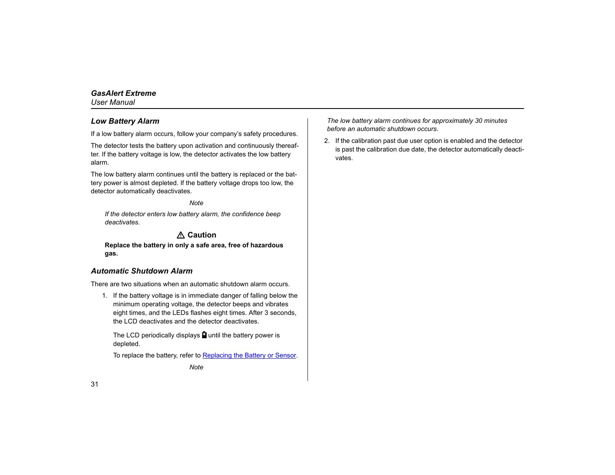#### <span id="page-40-0"></span>*Low Battery Alarm*

If a low battery alarm occurs, follow your company's safety procedures.

The detector tests the battery upon activation and continuously thereafter. If the battery voltage is low, the detector activates the low battery alarm.

The low battery alarm continues until the battery is replaced or the battery power is almost depleted. If the battery voltage drops too low, the detector automatically deactivates.

*Note*

*If the detector enters low battery alarm, the confidence beep deactivates.*

### a **Caution**

**Replace the battery in only a safe area, free of hazardous gas.**

#### <span id="page-40-1"></span>*Automatic Shutdown Alarm*

There are two situations when an automatic shutdown alarm occurs.

1. If the battery voltage is in immediate danger of falling below the minimum operating voltage, the detector beeps and vibrates eight times, and the LEDs flashes eight times. After 3 seconds, the LCD deactivates and the detector deactivates.

The LCD periodically displays  $\blacksquare$  until the battery power is depleted.

To replace the battery, refer to [Replacing the Battery or Sensor](#page-52-0).

*Note*

*The low battery alarm continues for approximately 30 minutes before an automatic shutdown occurs.*

2. If the calibration past due user option is enabled and the detector is past the calibration due date, the detector automatically deactivates.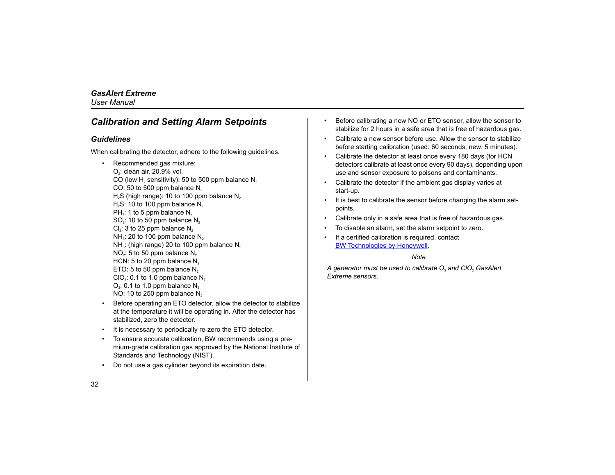### <span id="page-41-0"></span>*Calibration and Setting Alarm Setpoints*

### <span id="page-41-1"></span>*Guidelines*

•

When calibrating the detector, adhere to the following guidelines.

- Recommended gas mixture: O<sub>2</sub>: clean air, 20.9% vol. CO (low H<sub>2</sub> sensitivity): 50 to 500 ppm balance N<sub>2</sub> CO: 50 to 500 ppm balance  $N<sub>2</sub>$ H<sub>2</sub>S (high range): 10 to 100 ppm balance  $N_2$ H<sub>2</sub>S: 10 to 100 ppm balance  $N_2$ PH<sub>3</sub>: 1 to 5 ppm balance  $N_2$  $SO<sub>2</sub>$ : 10 to 50 ppm balance  $N<sub>2</sub>$  $Cl<sub>2</sub>: 3$  to 25 ppm balance N<sub>2</sub>  $NH<sub>3</sub>: 20$  to 100 ppm balance  $N<sub>2</sub>$  $NH<sub>3</sub>$ : (high range) 20 to 100 ppm balance N<sub>2</sub>  $NO<sub>2</sub>: 5$  to 50 ppm balance  $N<sub>2</sub>$ HCN:  $5$  to 20 ppm balance N<sub>2</sub> ETO: 5 to 50 ppm balance  $N<sub>2</sub>$  $ClO<sub>2</sub>: 0.1$  to 1.0 ppm balance  $N<sub>2</sub>$  $O<sub>3</sub>: 0.1$  to 1.0 ppm balance N<sub>2</sub> NO: 10 to 250 ppm balance  $N<sub>2</sub>$
- • Before operating an ETO detector, allow the detector to stabilize at the temperature it will be operating in. After the detector has stabilized, zero the detector.
- •It is necessary to periodically re-zero the ETO detector.
- • To ensure accurate calibration, BW recommends using a premium-grade calibration gas approved by the National Institute of Standards and Technology (NIST).
- •Do not use a gas cylinder beyond its expiration date.
- • Before calibrating a new NO or ETO sensor, allow the sensor to stabilize for 2 hours in a safe area that is free of hazardous gas.
- • Calibrate a new sensor before use. Allow the sensor to stabilize before starting calibration (used: 60 seconds; new: 5 minutes).
- • Calibrate the detector at least once every 180 days (for HCN detectors calibrate at least once every 90 days), depending upon use and sensor exposure to poisons and contaminants.
- • Calibrate the detector if the ambient gas display varies at start-up.
- •It is best to calibrate the sensor before changing the alarm setpoints.
- Calibrate only in a safe area that is free of hazardous gas.
- •To disable an alarm, set the alarm setpoint to zero.
- • If a certified calibration is required, contact [BW Technologies by Honeywell](#page-11-0).

#### *Note*

A generator must be used to calibrate O<sub>3</sub> and CIO<sub>2</sub> GasAlert *Extreme sensors.*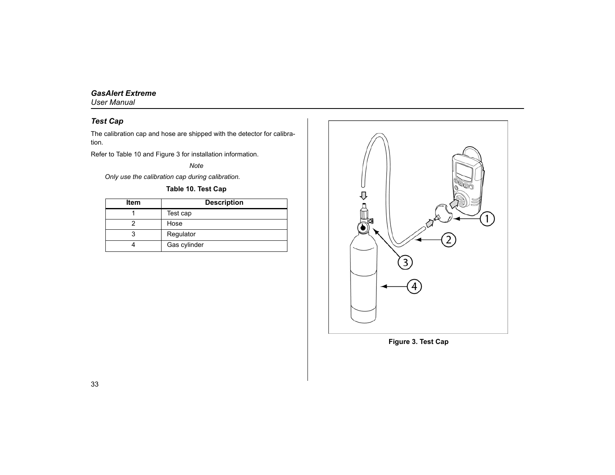### <span id="page-42-0"></span>*Test Cap*

The calibration cap and hose are shipped with the detector for calibration.

Refer to Table 10 and Figure 3 for installation information.

*Note*

<span id="page-42-1"></span>*Only use the calibration cap during calibration.*

#### **Table 10. Test Cap**

| Item | <b>Description</b> |
|------|--------------------|
|      | Test cap           |
|      | Hose               |
|      | Regulator          |
|      | Gas cylinder       |



<span id="page-42-2"></span>**Figure 3. Test Cap**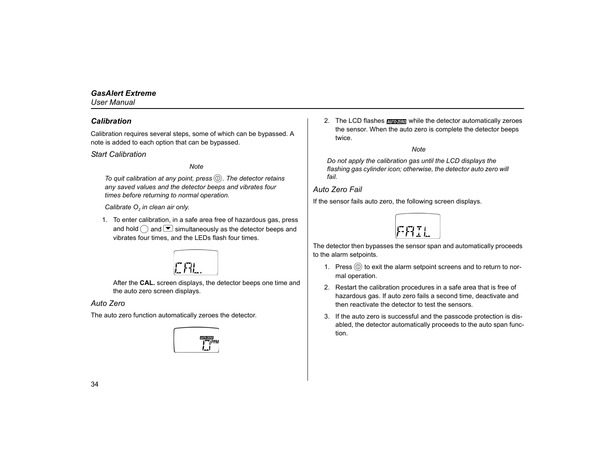### <span id="page-43-0"></span>*Calibration*

Calibration requires several steps, some of which can be bypassed. A note is added to each option that can be bypassed.

<span id="page-43-1"></span>*Start Calibration*

*Note*

*To quit calibration at any point, press*  $\textcircled{1}$ *. The detector retains any saved values and the detector beeps and vibrates four times before returning to normal operation.*

*Calibrate O<sub>2</sub> in clean air only.* 

1. To enter calibration, in a safe area free of hazardous gas, press and hold  $\bigcirc$  and  $\blacktriangledown$  simultaneously as the detector beeps and vibrates four times, and the LEDs flash four times.



After the **CAL.** screen displays, the detector beeps one time and the auto zero screen displays.

#### <span id="page-43-2"></span>*Auto Zero*

The auto zero function automatically zeroes the detector.



2. The LCD flashes **works** while the detector automatically zeroes the sensor. When the auto zero is complete the detector beeps twice.

#### *Note*

*Do not apply the calibration gas until the LCD displays the flashing gas cylinder icon; otherwise, the detector auto zero will fail.*

#### <span id="page-43-3"></span>*Auto Zero Fail*

If the sensor fails auto zero, the following screen displays.



The detector then bypasses the sensor span and automatically proceeds to the alarm setpoints.

- 1. Press  $\circled{0}$  to exit the alarm setpoint screens and to return to normal operation.
- 2. Restart the calibration procedures in a safe area that is free of hazardous gas. If auto zero fails a second time, deactivate and then reactivate the detector to test the sensors.
- 3. If the auto zero is successful and the passcode protection is disabled, the detector automatically proceeds to the auto span function.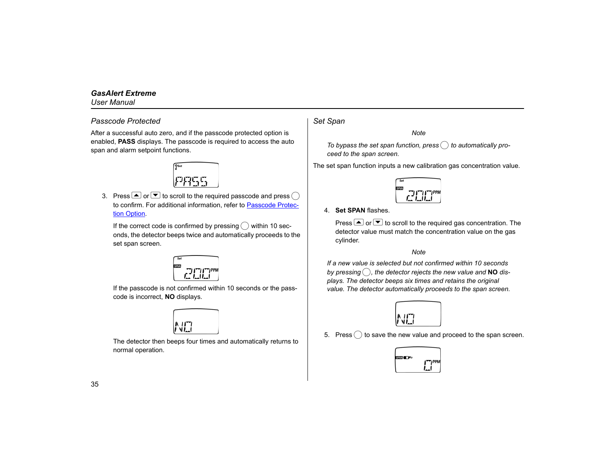### <span id="page-44-0"></span>*Passcode Protected*

After a successful auto zero, and if the passcode protected option is enabled, **PASS** displays. The passcode is required to access the auto span and alarm setpoint functions.



3. Press  $\triangle$  or  $\blacktriangledown$  to scroll to the required passcode and press  $\bigcap$ to confirm. For additional information, refer to [Passcode Protec](#page-25-0)[tion Option](#page-25-0).

If the correct code is confirmed by pressing  $(\ )$  within 10 seconds, the detector beeps twice and automatically proceeds to the set span screen.

If the passcode is not confirmed within 10 seconds or the passcode is incorrect, **NO** displays.



The detector then beeps four times and automatically returns to normal operation.

### <span id="page-44-1"></span>*Set Span*

*Note*

*To bypass the set span function, press* C *to automatically proceed to the span screen.*

The set span function inputs a new calibration gas concentration value.



4. **Set SPAN** flashes.

Press  $\triangle$  or  $\blacktriangledown$  to scroll to the required gas concentration. The detector value must match the concentration value on the gas cylinder.

#### *Note*

*If a new value is selected but not confirmed within 10 seconds by pressing* C*, the detector rejects the new value and* **NO** *displays. The detector beeps six times and retains the original value. The detector automatically proceeds to the span screen.*



5. Press  $\bigcirc$  to save the new value and proceed to the span screen.

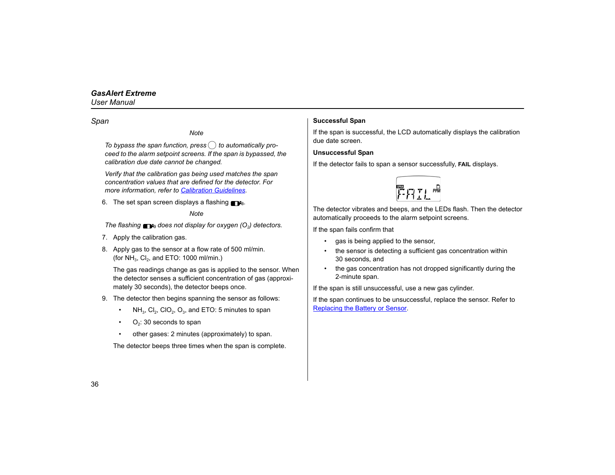<span id="page-45-0"></span>*Span*

#### *Note*

*To bypass the span function, press*  $\left( \right)$  *to automatically proceed to the alarm setpoint screens. If the span is bypassed, the calibration due date cannot be changed.*

*Verify that the calibration gas being used matches the span concentration values that are defined for the detector. For more information, refer to [Calibration Guidelines](#page-41-1).*

6. The set span screen displays a flashing  $\blacksquare$ 

#### *Note*

*The flashing*  $\blacksquare$  *does not display for oxygen (O<sub>2</sub>) detectors.* 

- 7. Apply the calibration gas.
- 8. Apply gas to the sensor at a flow rate of 500 ml/min. (for  $NH<sub>3</sub>$ , Cl<sub>2</sub>, and ETO: 1000 ml/min.)

The gas readings change as gas is applied to the sensor. When the detector senses a sufficient concentration of gas (approximately 30 seconds), the detector beeps once.

- 9. The detector then begins spanning the sensor as follows:
	- • $NH<sub>3</sub>$ , Cl<sub>2</sub>, ClO<sub>2</sub>, O<sub>3</sub>, and ETO: 5 minutes to span
	- $O<sub>2</sub>$ : 30 seconds to span
	- •other gases: 2 minutes (approximately) to span.

The detector beeps three times when the span is complete.

#### <span id="page-45-1"></span>**Successful Span**

If the span is successful, the LCD automatically displays the calibration due date screen.

#### <span id="page-45-2"></span>**Unsuccessful Span**

If the detector fails to span a sensor successfully, **FAIL** displays.



The detector vibrates and beeps, and the LEDs flash. Then the detector automatically proceeds to the alarm setpoint screens.

If the span fails confirm that

- •gas is being applied to the sensor,
- • the sensor is detecting a sufficient gas concentration within 30 seconds, and
- the gas concentration has not dropped significantly during the 2-minute span.

If the span is still unsuccessful, use a new gas cylinder.

If the span continues to be unsuccessful, replace the sensor. Refer to [Replacing the Battery or Sensor](#page-52-0).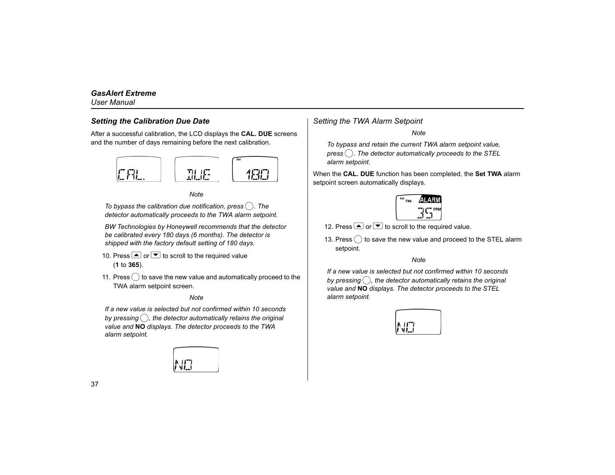### <span id="page-46-0"></span>*Setting the Calibration Due Date*

After a successful calibration, the LCD displays the **CAL. DUE** screens and the number of days remaining before the next calibration.





*To bypass the calibration due notification, press* C*. The detector automatically proceeds to the TWA alarm setpoint.*

*BW Technologies by Honeywell recommends that the detector be calibrated every 180 days (6 months). The detector is shipped with the factory default setting of 180 days.*

- 10. Press  $\triangle$  or  $\triangle$  to scroll to the required value (**1** to **365**).
- 11. Press  $\bigcirc$  to save the new value and automatically proceed to the TWA alarm setpoint screen.

*Note*

*If a new value is selected but not confirmed within 10 seconds by pressing* C*, the detector automatically retains the original value and* **NO** *displays. The detector proceeds to the TWA alarm setpoint.*



<span id="page-46-1"></span>*Setting the TWA Alarm Setpoint*

*Note*

*To bypass and retain the current TWA alarm setpoint value, press* C*. The detector automatically proceeds to the STEL alarm setpoint.*

When the **CAL. DUE** function has been completed, the **Set TWA** alarm setpoint screen automatically displays.



- 12. Press  $\triangle$  or  $\triangle$  to scroll to the required value.
- 13. Press  $\binom{1}{x}$  to save the new value and proceed to the STEL alarm setpoint.

#### *Note*

*If a new value is selected but not confirmed within 10 seconds by pressing* C*, the detector automatically retains the original value and* **NO** *displays. The detector proceeds to the STEL alarm setpoint.*

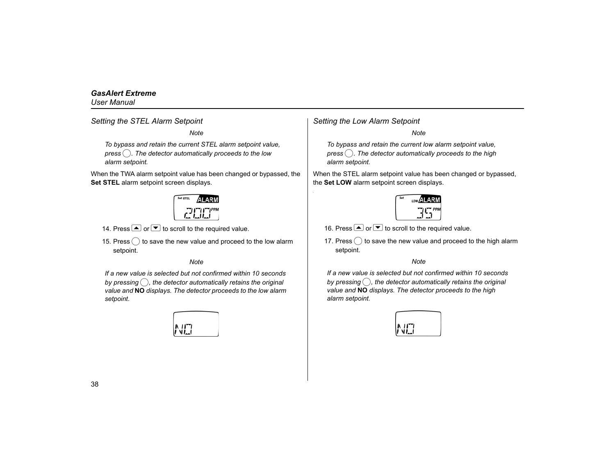<span id="page-47-0"></span>*Setting the STEL Alarm Setpoint*

*Note*

*To bypass and retain the current STEL alarm setpoint value,* 

*press* C*. The detector automatically proceeds to the low alarm setpoint.*

When the TWA alarm setpoint value has been changed or bypassed, the **Set STEL** alarm setpoint screen displays.



- 14. Press  $\Box$  or  $\Box$  to scroll to the required value.
- 15. Press  $\bigcirc$  to save the new value and proceed to the low alarm setpoint.

#### *Note*

*If a new value is selected but not confirmed within 10 seconds by pressing* C*, the detector automatically retains the original value and* **NO** *displays. The detector proceeds to the low alarm setpoint.*



#### <span id="page-47-1"></span>*Setting the Low Alarm Setpoint*

#### *Note*

*To bypass and retain the current low alarm setpoint value, press* C*. The detector automatically proceeds to the high alarm setpoint.*

When the STEL alarm setpoint value has been changed or bypassed, the **Set LOW** alarm setpoint screen displays.



- 16. Press  $\triangle$  or  $\triangle$  to scroll to the required value.
- 17. Press  $\bigcirc$  to save the new value and proceed to the high alarm setpoint.

#### *Note*

*If a new value is selected but not confirmed within 10 seconds by pressing* C*, the detector automatically retains the original value and* **NO** *displays. The detector proceeds to the high alarm setpoint.*

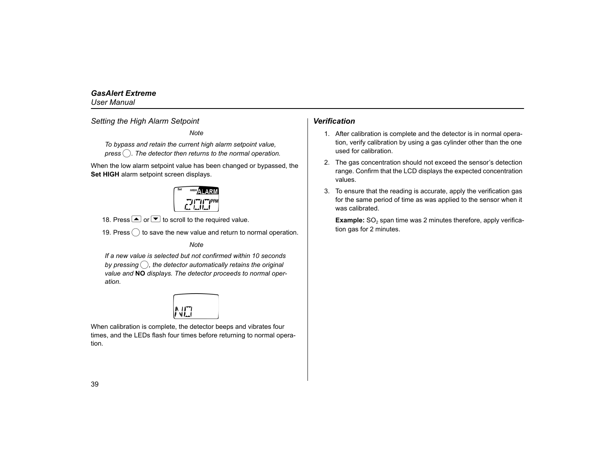<span id="page-48-0"></span>*Setting the High Alarm Setpoint*

*Note*

*To bypass and retain the current high alarm setpoint value,* 

*press* C*. The detector then returns to the normal operation.*

When the low alarm setpoint value has been changed or bypassed, the **Set HIGH** alarm setpoint screen displays.



18. Press  $\triangle$  or  $\triangle$  to scroll to the required value.

19. Press  $\bigcirc$  to save the new value and return to normal operation.

*Note*

*If a new value is selected but not confirmed within 10 seconds by pressing*  $\bigcap$ , the detector automatically retains the original *value and* **NO** *displays. The detector proceeds to normal operation.*



When calibration is complete, the detector beeps and vibrates four times, and the LEDs flash four times before returning to normal operation.

### <span id="page-48-1"></span>*Verification*

- 1. After calibration is complete and the detector is in normal operation, verify calibration by using a gas cylinder other than the one used for calibration.
- 2. The gas concentration should not exceed the sensor's detection range. Confirm that the LCD displays the expected concentration values.
- 3. To ensure that the reading is accurate, apply the verification gas for the same period of time as was applied to the sensor when it was calibrated.

**Example:** SO<sub>2</sub> span time was 2 minutes therefore, apply verification gas for 2 minutes.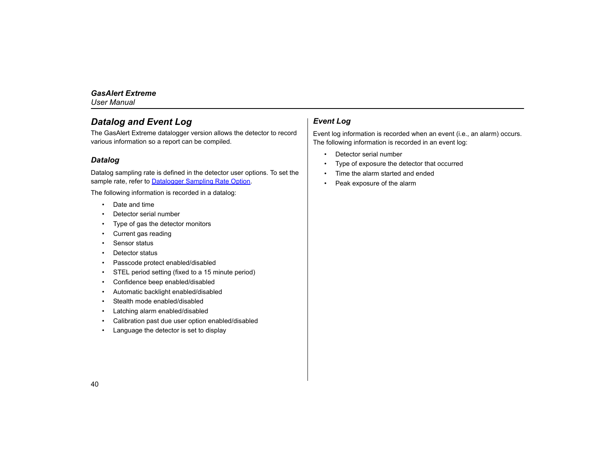### <span id="page-49-0"></span>*Datalog and Event Log*

The GasAlert Extreme datalogger version allows the detector to record various information so a report can be compiled.

### <span id="page-49-1"></span>*Datalog*

Datalog sampling rate is defined in the detector user options. To set the sample rate, refer to **Datalogger Sampling Rate Option**.

The following information is recorded in a datalog:

- •Date and time
- •Detector serial number
- •Type of gas the detector monitors
- •Current gas reading
- •Sensor status
- •Detector status
- •Passcode protect enabled/disabled
- •STEL period setting (fixed to a 15 minute period)
- •Confidence beep enabled/disabled
- •Automatic backlight enabled/disabled
- •Stealth mode enabled/disabled
- •Latching alarm enabled/disabled
- •Calibration past due user option enabled/disabled
- •Language the detector is set to display

### <span id="page-49-2"></span>*Event Log*

Event log information is recorded when an event (i.e., an alarm) occurs. The following information is recorded in an event log:

- •Detector serial number
- •Type of exposure the detector that occurred
- •Time the alarm started and ended
- •Peak exposure of the alarm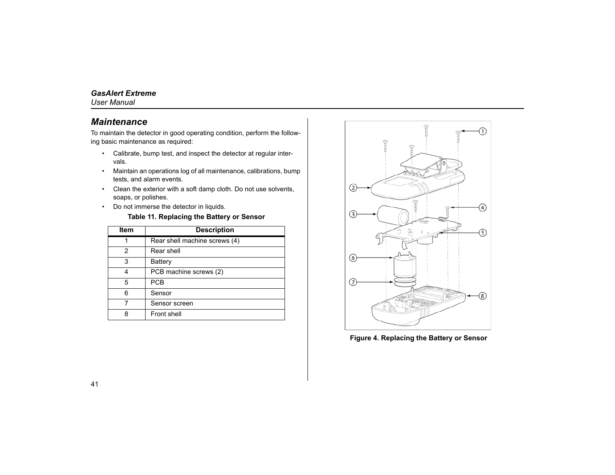### *GasAlert Extreme*

#### *User Manual*

### <span id="page-50-0"></span>*Maintenance*

To maintain the detector in good operating condition, perform the following basic maintenance as required:

- • Calibrate, bump test, and inspect the detector at regular intervals.
- • Maintain an operations log of all maintenance, calibrations, bump tests, and alarm events.
- • Clean the exterior with a soft damp cloth. Do not use solvents, soaps, or polishes.
- <span id="page-50-1"></span>•Do not immerse the detector in liquids.

#### **Table 11. Replacing the Battery or Sensor**

| <b>Item</b> | <b>Description</b>            |
|-------------|-------------------------------|
|             | Rear shell machine screws (4) |
| 2           | Rear shell                    |
| 3           | <b>Battery</b>                |
| 4           | PCB machine screws (2)        |
| 5           | <b>PCB</b>                    |
| հ           | Sensor                        |
|             | Sensor screen                 |
| R           | Front shell                   |



<span id="page-50-2"></span>**Figure 4. Replacing the Battery or Sensor**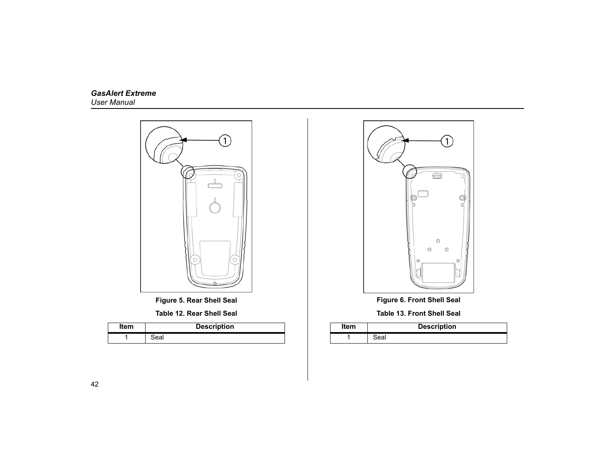

**Figure 5. Rear Shell Seal**

**Table 12. Rear Shell Seal**

<span id="page-51-2"></span><span id="page-51-0"></span>

| ltem | <b>Description</b> |  |
|------|--------------------|--|
|      |                    |  |



**Figure 6. Front Shell Seal**

**Table 13. Front Shell Seal**

<span id="page-51-3"></span><span id="page-51-1"></span>

| Item | <b>Description</b> |
|------|--------------------|
|      | ea.                |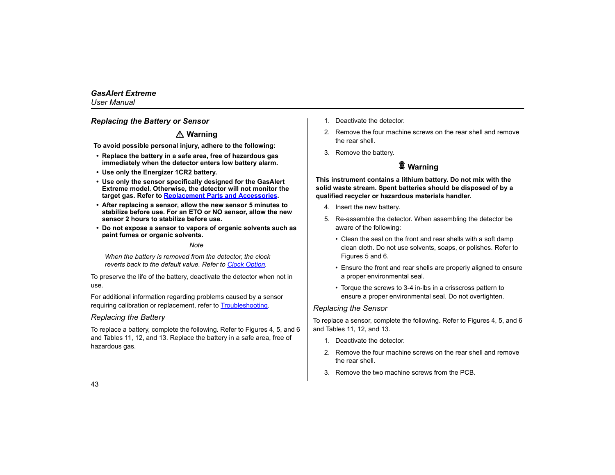### <span id="page-52-0"></span>*Replacing the Battery or Sensor*

### a **Warning**

**To avoid possible personal injury, adhere to the following:**

- **• Replace the battery in a safe area, free of hazardous gas immediately when the detector enters low battery alarm.**
- **• Use only the Energizer 1CR2 battery.**
- **• Use only the sensor specifically designed for the GasAlert Extreme model. Otherwise, the detector will not monitor the target gas. Refer to [Replacement Parts and Accessories](#page-58-0).**
- **• After replacing a sensor, allow the new sensor 5 minutes to stabilize before use. For an ETO or NO sensor, allow the new sensor 2 hours to stabilize before use.**
- **• Do not expose a sensor to vapors of organic solvents such as paint fumes or organic solvents.**

#### *Note*

*When the battery is removed from the detector, the clock reverts back to the default value. Refer to [Clock Option](#page-24-1).*

To preserve the life of the battery, deactivate the detector when not in use.

For additional information regarding problems caused by a sensor requiring calibration or replacement, refer to [Troubleshooting](#page-55-0).

#### <span id="page-52-1"></span>*Replacing the Battery*

To replace a battery, complete the following. Refer to Figures 4, 5, and 6 and Tables 11, 12, and 13. Replace the battery in a safe area, free of hazardous gas.

- 1. Deactivate the detector.
- 2. Remove the four machine screws on the rear shell and remove the rear shell.
- 3. Remove the battery.

### c **Warning**

**This instrument contains a lithium battery. Do not mix with the solid waste stream. Spent batteries should be disposed of by a qualified recycler or hazardous materials handler.**

- 4. Insert the new battery.
- 5. Re-assemble the detector. When assembling the detector be aware of the following:
	- Clean the seal on the front and rear shells with a soft damp clean cloth. Do not use solvents, soaps, or polishes. Refer to Figures 5 and 6.
	- Ensure the front and rear shells are properly aligned to ensure a proper environmental seal.
	- Torque the screws to 3-4 in-lbs in a crisscross pattern to ensure a proper environmental seal. Do not overtighten.

### <span id="page-52-2"></span>*Replacing the Sensor*

To replace a sensor, complete the following. Refer to Figures 4, 5, and 6 and Tables 11, 12, and 13.

- 1. Deactivate the detector.
- 2. Remove the four machine screws on the rear shell and remove the rear shell.
- 3. Remove the two machine screws from the PCB.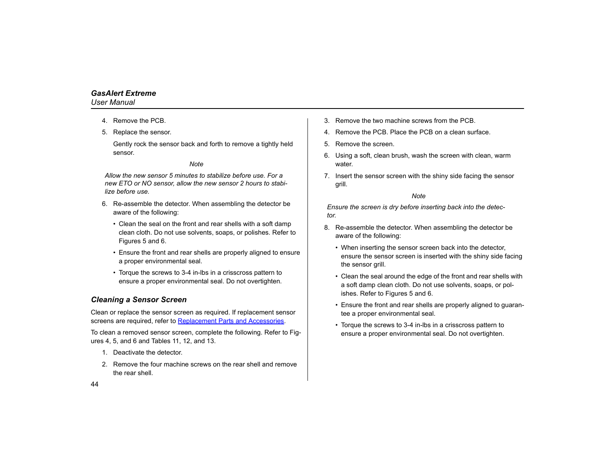- 4. Remove the PCB.
- 5. Replace the sensor.

Gently rock the sensor back and forth to remove a tightly held sensor.

#### *Note*

*Allow the new sensor 5 minutes to stabilize before use. For a new ETO or NO sensor, allow the new sensor 2 hours to stabilize before use.*

- 6. Re-assemble the detector. When assembling the detector be aware of the following:
	- Clean the seal on the front and rear shells with a soft damp clean cloth. Do not use solvents, soaps, or polishes. Refer to Figures 5 and 6.
	- Ensure the front and rear shells are properly aligned to ensure a proper environmental seal.
	- Torque the screws to 3-4 in-lbs in a crisscross pattern to ensure a proper environmental seal. Do not overtighten.

#### <span id="page-53-0"></span>*Cleaning a Sensor Screen*

Clean or replace the sensor screen as required. If replacement sensor screens are required, refer to [Replacement Parts and Accessories](#page-58-0).

To clean a removed sensor screen, complete the following. Refer to Figures 4, 5, and 6 and Tables 11, 12, and 13.

- 1. Deactivate the detector.
- 2. Remove the four machine screws on the rear shell and remove the rear shell.
- 3. Remove the two machine screws from the PCB.
- 4. Remove the PCB. Place the PCB on a clean surface.
- 5. Remove the screen.
- 6. Using a soft, clean brush, wash the screen with clean, warm water
- 7. Insert the sensor screen with the shiny side facing the sensor grill.

#### *Note*

*Ensure the screen is dry before inserting back into the detector.*

- 8. Re-assemble the detector. When assembling the detector be aware of the following:
	- When inserting the sensor screen back into the detector, ensure the sensor screen is inserted with the shiny side facing the sensor grill.
	- Clean the seal around the edge of the front and rear shells with a soft damp clean cloth. Do not use solvents, soaps, or polishes. Refer to Figures 5 and 6.
	- Ensure the front and rear shells are properly aligned to guarantee a proper environmental seal.
	- Torque the screws to 3-4 in-lbs in a crisscross pattern to ensure a proper environmental seal. Do not overtighten.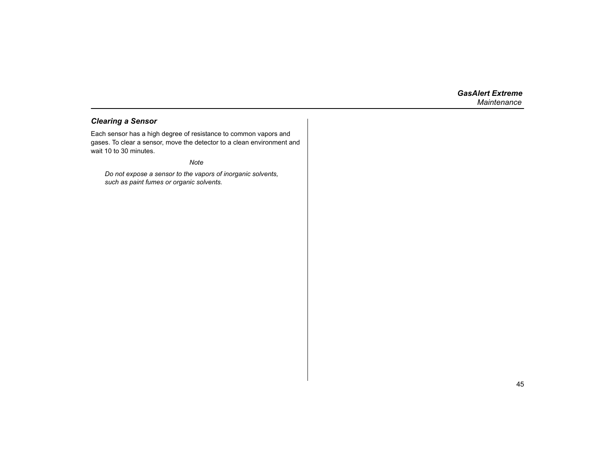### <span id="page-54-0"></span>*Clearing a Sensor*

Each sensor has a high degree of resistance to common vapors and gases. To clear a sensor, move the detector to a clean environment and wait 10 to 30 minutes.

*Note*

*Do not expose a sensor to the vapors of inorganic solvents, such as paint fumes or organic solvents.*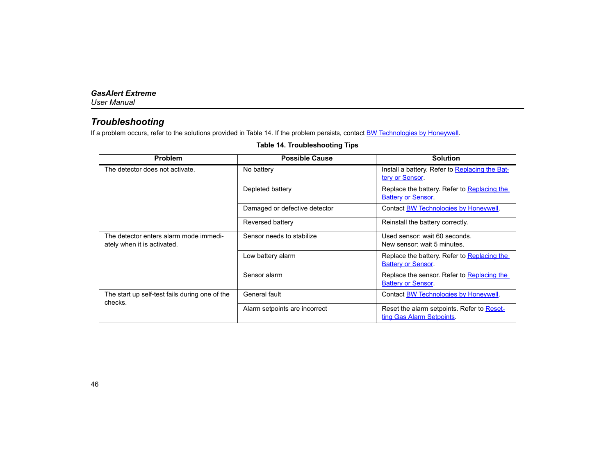### <span id="page-55-0"></span>*Troubleshooting*

<span id="page-55-1"></span>If a problem occurs, refer to the solutions provided in Table 14. If the problem persists, contact **BW Technologies by Honeywell**.

#### **Table 14. Troubleshooting Tips**

| <b>Problem</b>                                                        | <b>Possible Cause</b>         | <b>Solution</b>                                                         |
|-----------------------------------------------------------------------|-------------------------------|-------------------------------------------------------------------------|
| The detector does not activate.                                       | No battery                    | Install a battery. Refer to Replacing the Bat-<br>tery or Sensor        |
|                                                                       | Depleted battery              | Replace the battery. Refer to Replacing the<br><b>Battery or Sensor</b> |
|                                                                       | Damaged or defective detector | Contact <b>BW Technologies by Honeywell</b> .                           |
|                                                                       | Reversed battery              | Reinstall the battery correctly.                                        |
| The detector enters alarm mode immedi-<br>ately when it is activated. | Sensor needs to stabilize     | Used sensor: wait 60 seconds.<br>New sensor, wait 5 minutes.            |
|                                                                       | Low battery alarm             | Replace the battery. Refer to Replacing the<br><b>Battery or Sensor</b> |
|                                                                       | Sensor alarm                  | Replace the sensor. Refer to Replacing the<br><b>Battery or Sensor</b>  |
| The start up self-test fails during one of the<br>checks.             | General fault                 | Contact <b>BW Technologies by Honeywell</b> .                           |
|                                                                       | Alarm setpoints are incorrect | Reset the alarm setpoints. Refer to Reset-<br>ting Gas Alarm Setpoints  |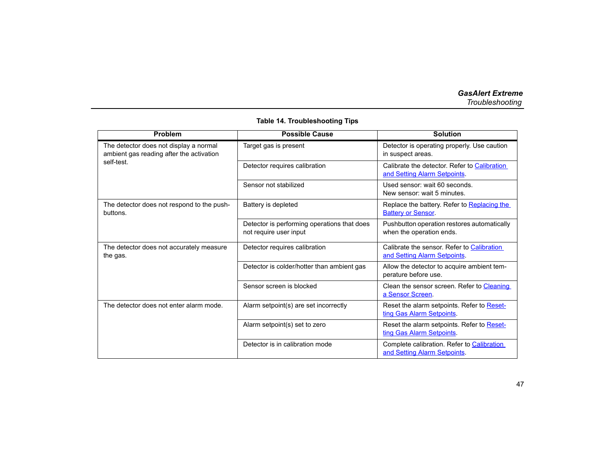|  |  | <b>Table 14. Troubleshooting Tips</b> |  |
|--|--|---------------------------------------|--|
|--|--|---------------------------------------|--|

| Problem                                                                                          | <b>Possible Cause</b>                                                 | <b>Solution</b>                                                              |
|--------------------------------------------------------------------------------------------------|-----------------------------------------------------------------------|------------------------------------------------------------------------------|
| The detector does not display a normal<br>ambient gas reading after the activation<br>self-test. | Target gas is present                                                 | Detector is operating properly. Use caution<br>in suspect areas.             |
|                                                                                                  | Detector requires calibration                                         | Calibrate the detector. Refer to Calibration<br>and Setting Alarm Setpoints. |
|                                                                                                  | Sensor not stabilized                                                 | Used sensor: wait 60 seconds.<br>New sensor: wait 5 minutes.                 |
| The detector does not respond to the push-<br>buttons.                                           | Battery is depleted                                                   | Replace the battery. Refer to Replacing the<br><b>Battery or Sensor</b>      |
|                                                                                                  | Detector is performing operations that does<br>not require user input | Pushbutton operation restores automatically<br>when the operation ends.      |
| The detector does not accurately measure<br>the gas.                                             | Detector requires calibration                                         | Calibrate the sensor. Refer to Calibration<br>and Setting Alarm Setpoints    |
|                                                                                                  | Detector is colder/hotter than ambient gas                            | Allow the detector to acquire ambient tem-<br>perature before use.           |
|                                                                                                  | Sensor screen is blocked                                              | Clean the sensor screen. Refer to Cleaning<br>a Sensor Screen.               |
| The detector does not enter alarm mode.                                                          | Alarm setpoint(s) are set incorrectly                                 | Reset the alarm setpoints. Refer to Reset-<br>ting Gas Alarm Setpoints.      |
|                                                                                                  | Alarm setpoint(s) set to zero                                         | Reset the alarm setpoints. Refer to Reset-<br>ting Gas Alarm Setpoints       |
|                                                                                                  | Detector is in calibration mode                                       | Complete calibration. Refer to Calibration<br>and Setting Alarm Setpoints    |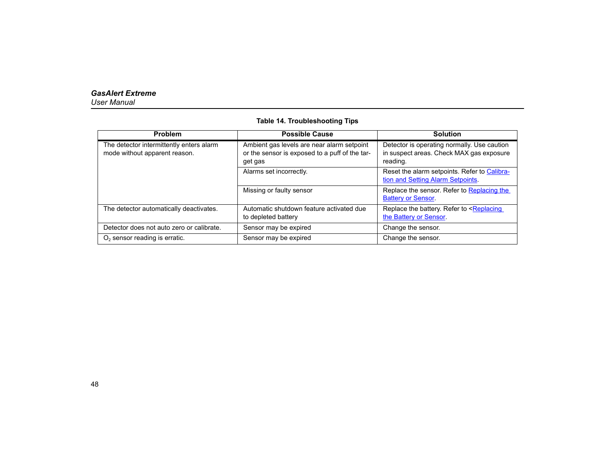### **Table 14. Troubleshooting Tips**

| <b>Problem</b>                                                            | <b>Possible Cause</b>                                                                                   | <b>Solution</b>                                                                                     |
|---------------------------------------------------------------------------|---------------------------------------------------------------------------------------------------------|-----------------------------------------------------------------------------------------------------|
| The detector intermittently enters alarm<br>mode without apparent reason. | Ambient gas levels are near alarm setpoint<br>or the sensor is exposed to a puff of the tar-<br>get gas | Detector is operating normally. Use caution<br>in suspect areas. Check MAX gas exposure<br>reading. |
|                                                                           | Alarms set incorrectly.                                                                                 | Reset the alarm setpoints. Refer to Calibra-<br>tion and Setting Alarm Setpoints.                   |
|                                                                           | Missing or faulty sensor                                                                                | Replace the sensor. Refer to Replacing the<br><b>Battery or Sensor</b>                              |
| The detector automatically deactivates.                                   | Automatic shutdown feature activated due<br>to depleted battery                                         | Replace the battery. Refer to <replacing<br>the Battery or Sensor.</replacing<br>                   |
| Detector does not auto zero or calibrate.                                 | Sensor may be expired                                                                                   | Change the sensor.                                                                                  |
| $O2$ sensor reading is erratic.                                           | Sensor may be expired                                                                                   | Change the sensor.                                                                                  |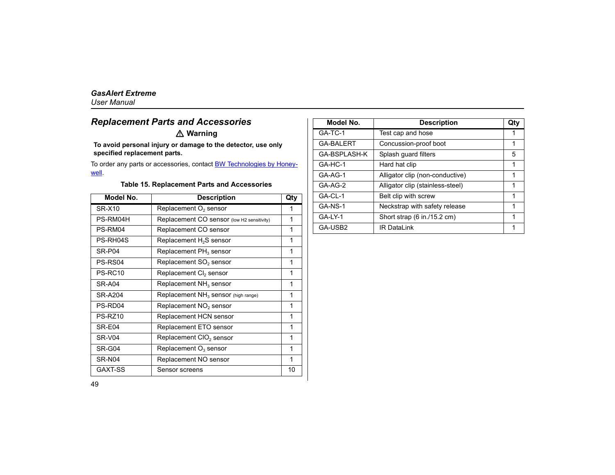### <span id="page-58-0"></span>*Replacement Parts and Accessories*

### a **Warning**

**To avoid personal injury or damage to the detector, use only specified replacement parts.**

To order any parts or accessories, contact **[BW Technologies by Honey](#page-11-0)**<u>[well](#page-11-0)</u>.

#### **Table 15. Replacement Parts and Accessories**

<span id="page-58-1"></span>

| Model No.           | <b>Description</b>                         | Qty |
|---------------------|--------------------------------------------|-----|
| $SR-X10$            | Replacement $O2$ sensor                    | 1   |
| PS-RM04H            | Replacement CO sensor (low H2 sensitivity) | 1   |
| PS-RM04             | Replacement CO sensor                      | 1   |
| PS-RH04S            | Replacement H <sub>2</sub> S sensor        | 1   |
| SR-P04              | Replacement PH <sub>3</sub> sensor         | 1   |
| PS-RS04             | Replacement SO <sub>2</sub> sensor         | 1   |
| PS-RC <sub>10</sub> | Replacement CI <sub>2</sub> sensor         | 1   |
| SR-A04              | Replacement NH <sub>3</sub> sensor         | 1   |
| SR-A204             | Replacement $NH3$ sensor (high range)      | 1   |
| PS-RD04             | Replacement NO <sub>2</sub> sensor         | 1   |
| PS-RZ10             | Replacement HCN sensor                     | 1   |
| SR-E04              | Replacement ETO sensor                     | 1   |
| SR-V04              | Replacement CIO <sub>2</sub> sensor        | 1   |
| SR-G04              | Replacement O <sub>3</sub> sensor          | 1   |
| SR-N04              | Replacement NO sensor                      | 1   |
| GAXT-SS             | Sensor screens                             | 10  |

| Model No.        | <b>Description</b>               | Qty |
|------------------|----------------------------------|-----|
| GA-TC-1          | Test cap and hose                |     |
| <b>GA-BALERT</b> | Concussion-proof boot            | 1   |
| GA-BSPLASH-K     | Splash guard filters             | 5   |
| GA-HC-1          | Hard hat clip                    | 1   |
| GA-AG-1          | Alligator clip (non-conductive)  | 1   |
| GA-AG-2          | Alligator clip (stainless-steel) | 1   |
| GA-CL-1          | Belt clip with screw             | 1   |
| GA-NS-1          | Neckstrap with safety release    |     |
| GA-LY-1          | Short strap (6 in./15.2 cm)      | 1   |
| GA-USB2          | <b>IR DataLink</b>               |     |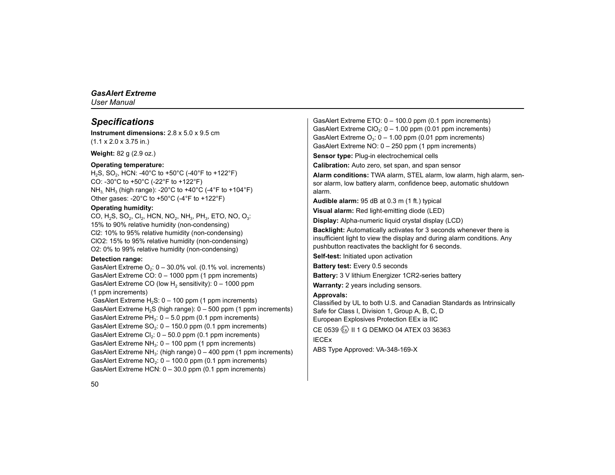### <span id="page-59-0"></span>*Specifications*

**Instrument dimensions:** 2.8 x 5.0 x 9.5 cm (1.1 x 2.0 x 3.75 in.)

**Weight:** 82 g (2.9 oz.)

#### **Operating temperature:**

H<sub>2</sub>S, SO<sub>2</sub>, HCN: -40°C to +50°C (-40°F to +122°F) CO: -30°C to +50°C (-22°F to +122°F) NH<sub>3</sub>, NH<sub>3</sub> (high range): -20 $^{\circ}$ C to +40 $^{\circ}$ C (-4 $^{\circ}$ F to +104 $^{\circ}$ F) Other gases: -20 $^{\circ}$ C to +50 $^{\circ}$ C (-4 $^{\circ}$ F to +122 $^{\circ}$ F)

#### **Operating humidity:**

CO,  $H_2S$ , SO<sub>2</sub>, Cl<sub>2</sub>, HCN, NO<sub>2</sub>, NH<sub>3</sub>, PH<sub>3</sub>, ETO, NO, O<sub>3</sub>: 15% to 90% relative humidity (non-condensing) Cl2: 10% to 95% relative humidity (non-condensing) ClO2: 15% to 95% relative humidity (non-condensing) O2: 0% to 99% relative humidity (non-condensing)

#### **Detection range:**

GasAlert Extreme O $\cdot$ : 0 – 30.0% vol. (0.1% vol. increments) GasAlert Extreme CO: 0 – 1000 ppm (1 ppm increments) GasAlert Extreme CO (low  $H_2$  sensitivity): 0 – 1000 ppm (1 ppm increments) GasAlert Extreme  $H_2S$ : 0 – 100 ppm (1 ppm increments) GasAlert Extreme  $H_2S$  (high range):  $0 - 500$  ppm (1 ppm increments) GasAlert Extreme  $PH_3$ :  $0 - 5.0$  ppm (0.1 ppm increments) GasAlert Extreme  $SO<sub>2</sub>$ : 0 – 150.0 ppm (0.1 ppm increments) GasAlert Extreme  $Cl_2$ :  $0 - 50.0$  ppm (0.1 ppm increments) GasAlert Extreme  $NH<sub>3</sub>: 0 - 100$  ppm (1 ppm increments) GasAlert Extreme NH<sub>3</sub>: (high range)  $0 - 400$  ppm (1 ppm increments) GasAlert Extreme  $NO<sub>2</sub>$ : 0 – 100.0 ppm (0.1 ppm increments) GasAlert Extreme HCN: 0 – 30.0 ppm (0.1 ppm increments)

GasAlert Extreme ETO: 0 – 100.0 ppm (0.1 ppm increments) GasAlert Extreme ClO<sub>2</sub>:  $0 - 1.00$  ppm (0.01 ppm increments) GasAlert Extreme  $O_3$ :  $0 - 1.00$  ppm (0.01 ppm increments) GasAlert Extreme NO: 0 – 250 ppm (1 ppm increments)

**Sensor type:** Plug-in electrochemical cells **Calibration:** Auto zero, set span, and span sensor

**Alarm conditions:** TWA alarm, STEL alarm, low alarm, high alarm, sensor alarm, low battery alarm, confidence beep, automatic shutdown alarm.

**Audible alarm:** 95 dB at 0.3 m (1 ft.) typical

**Visual alarm:** Red light-emitting diode (LED)

**Display:** Alpha-numeric liquid crystal display (LCD)

**Backlight:** Automatically activates for 3 seconds whenever there is insufficient light to view the display and during alarm conditions. Any pushbutton reactivates the backlight for 6 seconds.

**Self-test:** Initiated upon activation

**Battery test:** Every 0.5 seconds

**Battery:** 3 V lithium Energizer 1CR2-series battery

**Warranty:** 2 years including sensors.

#### **Approvals:**

Classified by UL to both U.S. and Canadian Standards as Intrinsically Safe for Class I, Division 1, Group A, B, C, D European Explosives Protection EEx ia IIC CE 0539  $\textcircled{\tiny{k}}$ ) II 1 G DEMKO 04 ATEX 03 36363 IECEx

ABS Type Approved: VA-348-169-X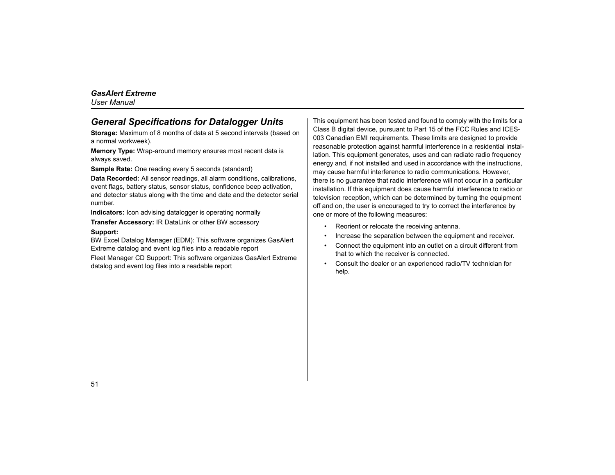### <span id="page-60-0"></span>*General Specifications for Datalogger Units*

**Storage:** Maximum of 8 months of data at 5 second intervals (based on a normal workweek).

**Memory Type:** Wrap-around memory ensures most recent data is always saved.

**Sample Rate:** One reading every 5 seconds (standard)

**Data Recorded:** All sensor readings, all alarm conditions, calibrations, event flags, battery status, sensor status, confidence beep activation, and detector status along with the time and date and the detector serial number.

**Indicators:** Icon advising datalogger is operating normally **Transfer Accessory:** IR DataLink or other BW accessory

#### **Support:**

BW Excel Datalog Manager (EDM): This software organizes GasAlert Extreme datalog and event log files into a readable report

Fleet Manager CD Support: This software organizes GasAlert Extreme datalog and event log files into a readable report

This equipment has been tested and found to comply with the limits for a Class B digital device, pursuant to Part 15 of the FCC Rules and ICES-003 Canadian EMI requirements. These limits are designed to provide reasonable protection against harmful interference in a residential installation. This equipment generates, uses and can radiate radio frequency energy and, if not installed and used in accordance with the instructions, may cause harmful interference to radio communications. However, there is no guarantee that radio interference will not occur in a particular installation. If this equipment does cause harmful interference to radio or television reception, which can be determined by turning the equipment off and on, the user is encouraged to try to correct the interference by one or more of the following measures:

- •Reorient or relocate the receiving antenna.
- •Increase the separation between the equipment and receiver.
- • Connect the equipment into an outlet on a circuit different from that to which the receiver is connected.
- • Consult the dealer or an experienced radio/TV technician for help.